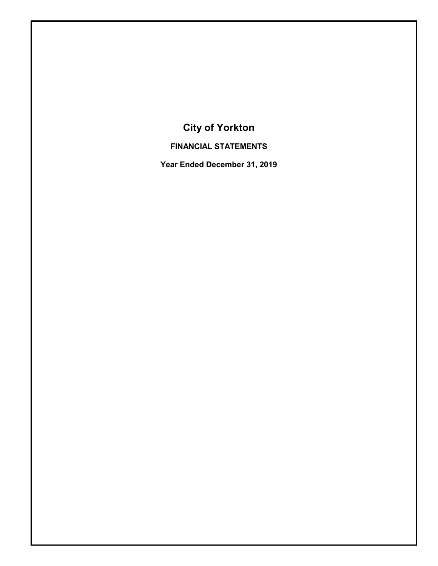# **City of Yorkton**

# **FINANCIAL STATEMENTS**

**Year Ended December 31, 2019**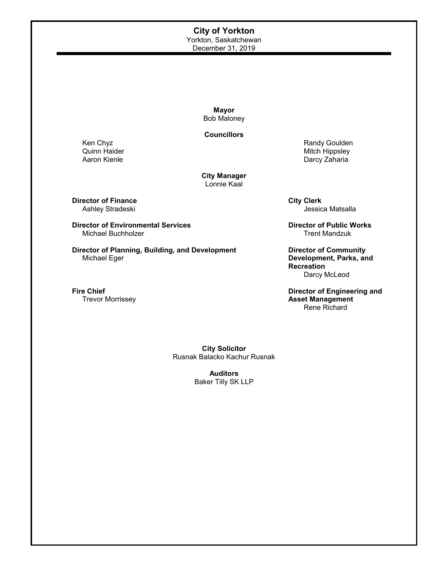# Yorkton, Saskatchewan December 31, 2019 **Mayor** Bob Maloney **Councillors** Ken Chyz **Randy Goulden** ية المسابقة المسابقة المسابقة المسابقة المسابقة المسابقة المسابقة المسابقة المسابقة المسابقة المسابقة المسابقة<br>19 Aaron Kienle Darcy Zaharia **City Manager** Lonnie Kaal **Director of Finance**<br> **City Clerk**<br> **City Clerk**<br> **City Clerk**<br> **City Clerk**<br> **City Clerk** Ashley Stradeski **Director of Environmental Services**<br>Michael Buchholzer<br>Trent Mandzuk Michael Buchholzer

**Recreation** Darcy McLeod

**Fire Chief Director of Engineering and Trevor Morrissey <b>Director Server Chief Director of Engineering and Trevor Morrissey Asset Management** Rene Richard

> **City Solicitor** Rusnak Balacko Kachur Rusnak

> > **Auditors** Baker Tilly SK LLP

**Director of Planning, Building, and Development Director of Community Michael Eger Development, Parks, and** 

**City of Yorkton**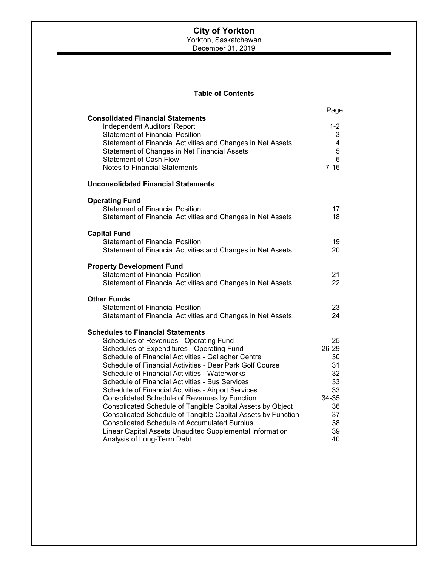Yorkton, Saskatchewan

December 31, 2019

#### **Table of Contents**

| Page                                                                             |
|----------------------------------------------------------------------------------|
| $1 - 2$<br>3<br>$\overline{\mathbf{4}}$<br>5<br>6<br>$7 - 16$                    |
|                                                                                  |
| 17<br>18                                                                         |
| 19<br>20                                                                         |
| 21<br>22                                                                         |
| 23<br>24                                                                         |
|                                                                                  |
| 25<br>26-29<br>30<br>31<br>32<br>33<br>33<br>34-35<br>36<br>37<br>38<br>39<br>40 |
|                                                                                  |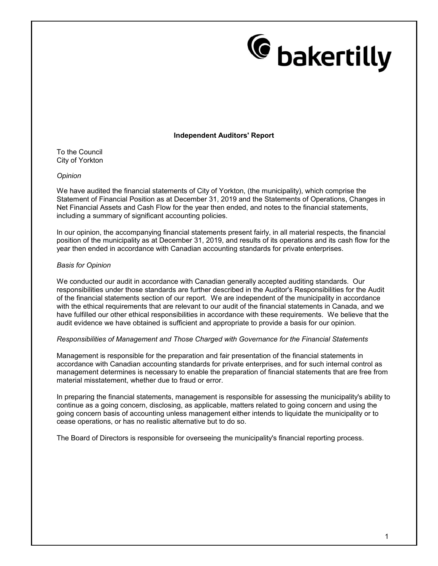

#### **Independent Auditors' Report**

To the Council City of Yorkton

#### *Opinion*

We have audited the financial statements of City of Yorkton, (the municipality), which comprise the Statement of Financial Position as at December 31, 2019 and the Statements of Operations, Changes in Net Financial Assets and Cash Flow for the year then ended, and notes to the financial statements, including a summary of significant accounting policies.

In our opinion, the accompanying financial statements present fairly, in all material respects, the financial position of the municipality as at December 31, 2019, and results of its operations and its cash flow for the year then ended in accordance with Canadian accounting standards for private enterprises.

#### *Basis for Opinion*

We conducted our audit in accordance with Canadian generally accepted auditing standards. Our responsibilities under those standards are further described in the Auditor's Responsibilities for the Audit of the financial statements section of our report. We are independent of the municipality in accordance with the ethical requirements that are relevant to our audit of the financial statements in Canada, and we have fulfilled our other ethical responsibilities in accordance with these requirements. We believe that the audit evidence we have obtained is sufficient and appropriate to provide a basis for our opinion.

#### *Responsibilities of Management and Those Charged with Governance for the Financial Statements*

Management is responsible for the preparation and fair presentation of the financial statements in accordance with Canadian accounting standards for private enterprises, and for such internal control as management determines is necessary to enable the preparation of financial statements that are free from material misstatement, whether due to fraud or error.

In preparing the financial statements, management is responsible for assessing the municipality's ability to continue as a going concern, disclosing, as applicable, matters related to going concern and using the going concern basis of accounting unless management either intends to liquidate the municipality or to cease operations, or has no realistic alternative but to do so.

The Board of Directors is responsible for overseeing the municipality's financial reporting process.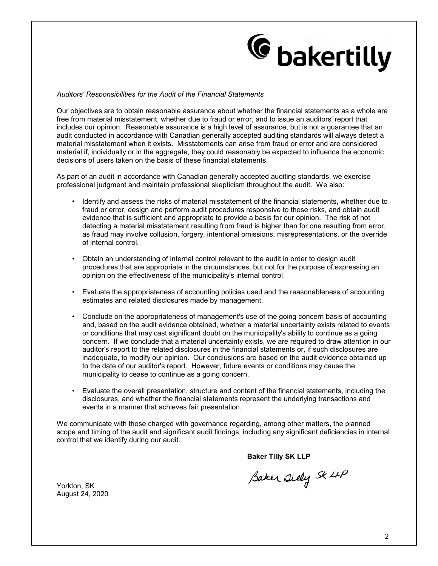

#### *Auditors' Responsibilities for the Audit of the Financial Statements*

Our objectives are to obtain reasonable assurance about whether the financial statements as a whole are free from material misstatement, whether due to fraud or error, and to issue an auditors' report that includes our opinion. Reasonable assurance is a high level of assurance, but is not a guarantee that an audit conducted in accordance with Canadian generally accepted auditing standards will always detect a material misstatement when it exists. Misstatements can arise from fraud or error and are considered material if, individually or in the aggregate, they could reasonably be expected to influence the economic decisions of users taken on the basis of these financial statements.

As part of an audit in accordance with Canadian generally accepted auditing standards, we exercise professional judgment and maintain professional skepticism throughout the audit. We also:

- Identify and assess the risks of material misstatement of the financial statements, whether due to fraud or error, design and perform audit procedures responsive to those risks, and obtain audit evidence that is sufficient and appropriate to provide a basis for our opinion. The risk of not detecting a material misstatement resulting from fraud is higher than for one resulting from error, as fraud may involve collusion, forgery, intentional omissions, misrepresentations, or the override of internal control.
- Obtain an understanding of internal control relevant to the audit in order to design audit procedures that are appropriate in the circumstances, but not for the purpose of expressing an opinion on the effectiveness of the municipality's internal control.
- Evaluate the appropriateness of accounting policies used and the reasonableness of accounting estimates and related disclosures made by management.
- Conclude on the appropriateness of management's use of the going concern basis of accounting and, based on the audit evidence obtained, whether a material uncertainty exists related to events or conditions that may cast significant doubt on the municipality's ability to continue as a going concern. If we conclude that a material uncertainty exists, we are required to draw attention in our auditor's report to the related disclosures in the financial statements or, if such disclosures are inadequate, to modify our opinion. Our conclusions are based on the audit evidence obtained up to the date of our auditor's report. However, future events or conditions may cause the municipality to cease to continue as a going concern.
- Evaluate the overall presentation, structure and content of the financial statements, including the disclosures, and whether the financial statements represent the underlying transactions and events in a manner that achieves fair presentation.

We communicate with those charged with governance regarding, among other matters, the planned scope and timing of the audit and significant audit findings, including any significant deficiencies in internal control that we identify during our audit.

**Baker Tilly SK LLP**

Baker Jiely SKLLP

Yorkton, SK August 24, 2020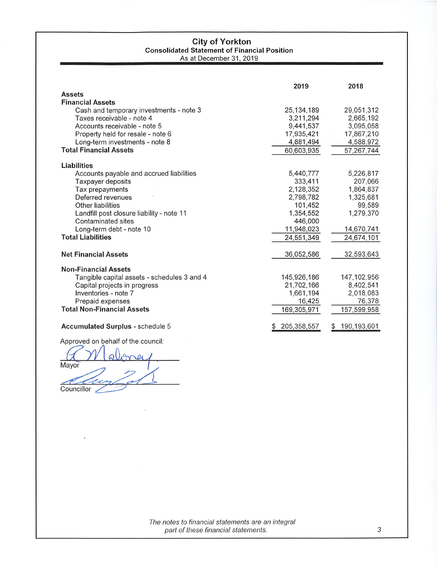# City of Yorkton<br>Consolidated Statement of Financial Position<br>As at December 31, 2019

|                                             | 2019              | 2018              |
|---------------------------------------------|-------------------|-------------------|
| <b>Assets</b>                               |                   |                   |
| <b>Financial Assets</b>                     |                   |                   |
| Cash and temporary investments - note 3     | 25, 134, 189      | 29,051,312        |
| Taxes receivable - note 4                   | 3,211,294         | 2,665,192         |
| Accounts receivable - note 5                | 9,441,537         | 3,095,058         |
| Property held for resale - note 6           | 17,935,421        | 17,867,210        |
| Long-term investments - note 8              | 4,881,494         | 4,588,972         |
| <b>Total Financial Assets</b>               | 60,603,935        | 57,267,744        |
| <b>Liabilities</b>                          |                   |                   |
| Accounts payable and accrued liabilities    | 5,440,777         | 5,226,817         |
| Taxpayer deposits                           | 333,411           | 207,066           |
| Tax prepayments                             | 2,128,352         | 1,864,837         |
| Deferred revenues                           | 2,798,782         | 1,325,681         |
| Other liabilities                           | 101,452           | 99,589            |
| Landfill post closure liability - note 11   | 1,354,552         | 1,279,370         |
| <b>Contaminated sites</b>                   | 446,000           |                   |
| Long-term debt - note 10                    | 11,948,023        | 14,670,741        |
| <b>Total Liabilities</b>                    | 24,551,349        | 24,674,101        |
| <b>Net Financial Assets</b>                 | 36,052,586        | 32,593,643        |
| <b>Non-Financial Assets</b>                 |                   |                   |
| Tangible capital assets - schedules 3 and 4 | 145,926,186       | 147,102,956       |
| Capital projects in progress                | 21,702,166        | 8,402,541         |
| Inventories - note 7                        | 1,661,194         | 2,018,083         |
| Prepaid expenses                            | 16,425            | 76,378            |
| <b>Total Non-Financial Assets</b>           | 169,305,971       | 157,599,958       |
| Accumulated Surplus - schedule 5            | 205,358,557<br>\$ | 190,193,601<br>\$ |

Approved on behalf of the council:

Mayor  $\frac{1}{\text{Councillor}}$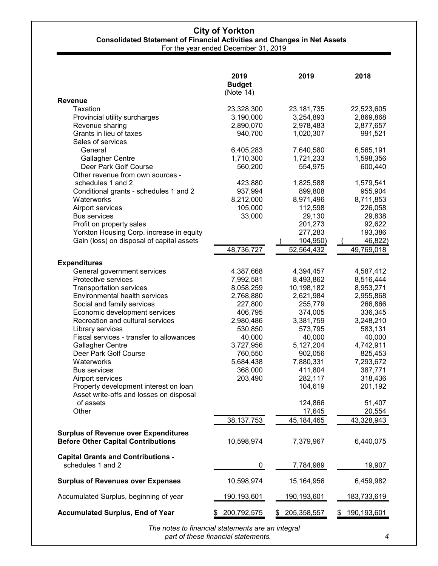#### **City of Yorkton Consolidated Statement of Financial Activities and Changes in Net Assets**

For the year ended December 31, 2019

|                                                                                          | 2019<br><b>Budget</b><br>(Note 14) | 2019          | 2018        |
|------------------------------------------------------------------------------------------|------------------------------------|---------------|-------------|
| <b>Revenue</b>                                                                           |                                    |               |             |
| Taxation                                                                                 | 23,328,300                         | 23, 181, 735  | 22,523,605  |
| Provincial utility surcharges                                                            | 3,190,000                          | 3,254,893     | 2,869,868   |
| Revenue sharing                                                                          | 2,890,070                          | 2,978,483     | 2,877,657   |
| Grants in lieu of taxes                                                                  | 940,700                            | 1,020,307     | 991,521     |
| Sales of services                                                                        |                                    |               |             |
| General                                                                                  | 6,405,283                          | 7,640,580     | 6,565,191   |
| <b>Gallagher Centre</b>                                                                  | 1,710,300                          | 1,721,233     | 1,598,356   |
| Deer Park Golf Course                                                                    | 560,200                            | 554,975       | 600,440     |
| Other revenue from own sources -                                                         |                                    |               |             |
| schedules 1 and 2                                                                        | 423,880                            | 1,825,588     | 1,579,541   |
| Conditional grants - schedules 1 and 2                                                   | 937,994                            | 899,808       | 955,904     |
| Waterworks                                                                               | 8,212,000                          | 8,971,496     | 8,711,853   |
| Airport services                                                                         | 105,000                            | 112,598       | 226,058     |
| <b>Bus services</b>                                                                      | 33,000                             | 29,130        | 29,838      |
| Profit on property sales                                                                 |                                    | 201,273       | 92,622      |
| Yorkton Housing Corp. increase in equity                                                 |                                    | 277,283       | 193,386     |
| Gain (loss) on disposal of capital assets                                                |                                    | 104,950)      | 46,822)     |
|                                                                                          | 48,736,727                         | 52,564,432    | 49,769,018  |
| <b>Expenditures</b>                                                                      |                                    |               |             |
| General government services                                                              | 4,387,668                          | 4,394,457     | 4,587,412   |
| Protective services                                                                      | 7,992,581                          | 8,493,862     | 8,516,444   |
| <b>Transportation services</b>                                                           | 8,058,259                          | 10,198,182    | 8,953,271   |
| Environmental health services                                                            | 2,768,880                          | 2,621,984     | 2,955,868   |
| Social and family services                                                               | 227,800                            | 255,779       | 266,866     |
| Economic development services                                                            | 406,795                            | 374,005       | 336,345     |
| Recreation and cultural services                                                         | 2,980,486                          | 3,381,759     | 3,248,210   |
| Library services                                                                         | 530,850                            | 573,795       | 583,131     |
| Fiscal services - transfer to allowances                                                 | 40,000                             | 40,000        | 40,000      |
| <b>Gallagher Centre</b>                                                                  | 3,727,956                          | 5,127,204     | 4,742,911   |
| Deer Park Golf Course                                                                    | 760,550                            | 902,056       | 825,453     |
| Waterworks                                                                               | 5,684,438                          | 7,880,331     | 7,293,672   |
| <b>Bus services</b>                                                                      | 368,000                            | 411,804       | 387,771     |
| Airport services                                                                         | 203,490                            | 282,117       | 318,436     |
| Property development interest on loan<br>Asset write-offs and losses on disposal         |                                    | 104,619       | 201,192     |
| of assets                                                                                |                                    | 124,866       | 51,407      |
| Other                                                                                    |                                    | 17,645        | 20,554      |
|                                                                                          | 38, 137, 753                       | 45,184,465    | 43,328,943  |
| <b>Surplus of Revenue over Expenditures</b><br><b>Before Other Capital Contributions</b> | 10,598,974                         | 7,379,967     | 6,440,075   |
| <b>Capital Grants and Contributions -</b><br>schedules 1 and 2                           | 0                                  | 7,784,989     | 19,907      |
| <b>Surplus of Revenues over Expenses</b>                                                 | 10,598,974                         | 15,164,956    | 6,459,982   |
| Accumulated Surplus, beginning of year                                                   | 190,193,601                        | 190,193,601   | 183,733,619 |
| <b>Accumulated Surplus, End of Year</b>                                                  | 200,792,575<br>S.                  | 205, 358, 557 | 190,193,601 |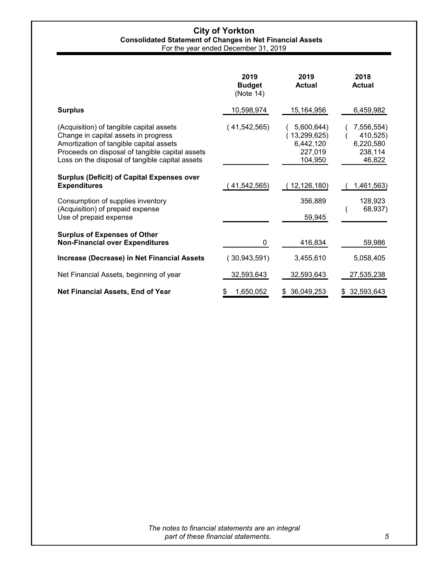#### **City of Yorkton Consolidated Statement of Changes in Net Financial Assets** For the year ended December 31, 2019

|                                                                                                                                                                                                                                   | 2019<br><b>Budget</b><br>(Note 14) | 2019<br><b>Actual</b>                                           | 2018<br><b>Actual</b>                                    |
|-----------------------------------------------------------------------------------------------------------------------------------------------------------------------------------------------------------------------------------|------------------------------------|-----------------------------------------------------------------|----------------------------------------------------------|
| <b>Surplus</b>                                                                                                                                                                                                                    | 10,598,974                         | 15,164,956                                                      | 6,459,982                                                |
| (Acquisition) of tangible capital assets<br>Change in capital assets in progress<br>Amortization of tangible capital assets<br>Proceeds on disposal of tangible capital assets<br>Loss on the disposal of tangible capital assets | (41, 542, 565)                     | 5,600,644)<br>(13, 299, 625)<br>6,442,120<br>227,019<br>104,950 | 7,556,554)<br>410,525)<br>6,220,580<br>238,114<br>46,822 |
| <b>Surplus (Deficit) of Capital Expenses over</b><br><b>Expenditures</b>                                                                                                                                                          | (41, 542, 565)                     | (12, 126, 180)                                                  | 1,461,563)                                               |
| Consumption of supplies inventory                                                                                                                                                                                                 |                                    | 356,889                                                         | 128,923                                                  |
| (Acquisition) of prepaid expense<br>Use of prepaid expense                                                                                                                                                                        |                                    | 59,945                                                          | 68,937)                                                  |
| <b>Surplus of Expenses of Other</b><br><b>Non-Financial over Expenditures</b>                                                                                                                                                     | $\Omega$                           | 416,834                                                         | 59,986                                                   |
| <b>Increase (Decrease) in Net Financial Assets</b>                                                                                                                                                                                | (30,943,591)                       | 3,455,610                                                       | 5,058,405                                                |
| Net Financial Assets, beginning of year                                                                                                                                                                                           | 32,593,643                         | 32,593,643                                                      | 27,535,238                                               |
| <b>Net Financial Assets, End of Year</b>                                                                                                                                                                                          | 1,650,052<br>\$                    | \$36,049,253                                                    | \$32,593,643                                             |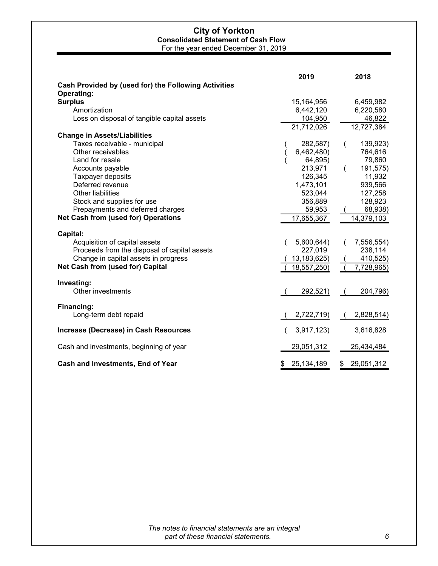# **City of Yorkton**

**Consolidated Statement of Cash Flow**

For the year ended December 31, 2019

|                                                      | 2019             | 2018             |
|------------------------------------------------------|------------------|------------------|
| Cash Provided by (used for) the Following Activities |                  |                  |
| <b>Operating:</b>                                    |                  |                  |
| <b>Surplus</b>                                       | 15,164,956       | 6,459,982        |
| Amortization                                         | 6,442,120        | 6,220,580        |
| Loss on disposal of tangible capital assets          | 104,950          | 46,822           |
|                                                      | 21,712,026       | 12,727,384       |
| <b>Change in Assets/Liabilities</b>                  |                  |                  |
| Taxes receivable - municipal                         | 282,587)         | 139,923)         |
| Other receivables                                    | 6,462,480)       | 764,616          |
| Land for resale                                      | 64,895)          | 79,860           |
| Accounts payable                                     | 213,971          | 191,575)         |
| Taxpayer deposits                                    | 126,345          | 11,932           |
| Deferred revenue                                     | 1,473,101        | 939,566          |
| <b>Other liabilities</b>                             | 523,044          | 127,258          |
| Stock and supplies for use                           | 356,889          | 128,923          |
| Prepayments and deferred charges                     | 59,953           | 68,938)          |
| <b>Net Cash from (used for) Operations</b>           | 17,655,367       | 14,379,103       |
|                                                      |                  |                  |
| Capital:                                             |                  |                  |
| Acquisition of capital assets                        | 5,600,644)       | 7,556,554)       |
| Proceeds from the disposal of capital assets         | 227,019          | 238,114          |
| Change in capital assets in progress                 | 13, 183, 625)    | 410,525)         |
| Net Cash from (used for) Capital                     | 18,557,250)      | 7,728,965)       |
|                                                      |                  |                  |
| Investing:                                           |                  |                  |
| Other investments                                    | 292,521)         | 204,796)         |
| Financing:                                           |                  |                  |
| Long-term debt repaid                                | 2,722,719)       | 2,828,514)       |
|                                                      |                  |                  |
| Increase (Decrease) in Cash Resources                | 3,917,123        | 3,616,828        |
| Cash and investments, beginning of year              | 29,051,312       | 25,434,484       |
| Cash and Investments, End of Year                    | 25,134,189<br>\$ | 29,051,312<br>\$ |
|                                                      |                  |                  |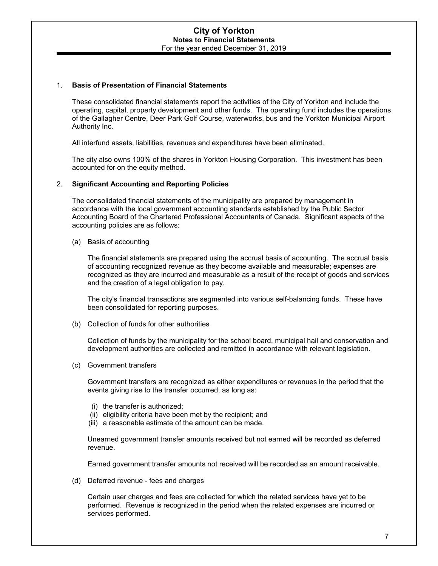#### 1. **Basis of Presentation of Financial Statements**

These consolidated financial statements report the activities of the City of Yorkton and include the operating, capital, property development and other funds. The operating fund includes the operations of the Gallagher Centre, Deer Park Golf Course, waterworks, bus and the Yorkton Municipal Airport Authority Inc.

All interfund assets, liabilities, revenues and expenditures have been eliminated.

The city also owns 100% of the shares in Yorkton Housing Corporation. This investment has been accounted for on the equity method.

#### 2. **Significant Accounting and Reporting Policies**

The consolidated financial statements of the municipality are prepared by management in accordance with the local government accounting standards established by the Public Sector Accounting Board of the Chartered Professional Accountants of Canada. Significant aspects of the accounting policies are as follows:

(a) Basis of accounting

The financial statements are prepared using the accrual basis of accounting. The accrual basis of accounting recognized revenue as they become available and measurable; expenses are recognized as they are incurred and measurable as a result of the receipt of goods and services and the creation of a legal obligation to pay.

The city's financial transactions are segmented into various self-balancing funds. These have been consolidated for reporting purposes.

(b) Collection of funds for other authorities

Collection of funds by the municipality for the school board, municipal hail and conservation and development authorities are collected and remitted in accordance with relevant legislation.

(c) Government transfers

Government transfers are recognized as either expenditures or revenues in the period that the events giving rise to the transfer occurred, as long as:

- (i) the transfer is authorized;
- (ii) eligibility criteria have been met by the recipient; and
- (iii) a reasonable estimate of the amount can be made.

Unearned government transfer amounts received but not earned will be recorded as deferred revenue.

Earned government transfer amounts not received will be recorded as an amount receivable.

(d) Deferred revenue - fees and charges

Certain user charges and fees are collected for which the related services have yet to be performed. Revenue is recognized in the period when the related expenses are incurred or services performed.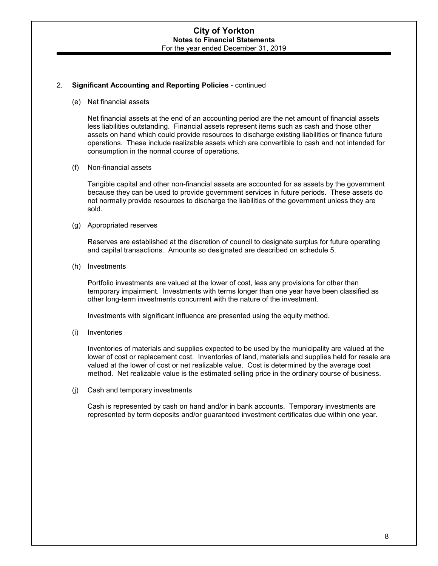#### 2. **Significant Accounting and Reporting Policies** - continued

(e) Net financial assets

Net financial assets at the end of an accounting period are the net amount of financial assets less liabilities outstanding. Financial assets represent items such as cash and those other assets on hand which could provide resources to discharge existing liabilities or finance future operations. These include realizable assets which are convertible to cash and not intended for consumption in the normal course of operations.

(f) Non-financial assets

Tangible capital and other non-financial assets are accounted for as assets by the government because they can be used to provide government services in future periods. These assets do not normally provide resources to discharge the liabilities of the government unless they are sold.

(g) Appropriated reserves

Reserves are established at the discretion of council to designate surplus for future operating and capital transactions. Amounts so designated are described on schedule 5.

(h) Investments

Portfolio investments are valued at the lower of cost, less any provisions for other than temporary impairment. Investments with terms longer than one year have been classified as other long-term investments concurrent with the nature of the investment.

Investments with significant influence are presented using the equity method.

(i) Inventories

Inventories of materials and supplies expected to be used by the municipality are valued at the lower of cost or replacement cost. Inventories of land, materials and supplies held for resale are valued at the lower of cost or net realizable value. Cost is determined by the average cost method. Net realizable value is the estimated selling price in the ordinary course of business.

(j) Cash and temporary investments

Cash is represented by cash on hand and/or in bank accounts. Temporary investments are represented by term deposits and/or guaranteed investment certificates due within one year.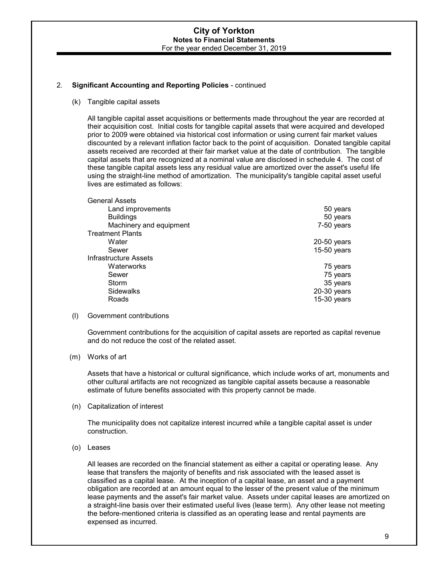#### 2. **Significant Accounting and Reporting Policies** - continued

#### (k) Tangible capital assets

All tangible capital asset acquisitions or betterments made throughout the year are recorded at their acquisition cost. Initial costs for tangible capital assets that were acquired and developed prior to 2009 were obtained via historical cost information or using current fair market values discounted by a relevant inflation factor back to the point of acquisition. Donated tangible capital assets received are recorded at their fair market value at the date of contribution. The tangible capital assets that are recognized at a nominal value are disclosed in schedule 4. The cost of these tangible capital assets less any residual value are amortized over the asset's useful life using the straight-line method of amortization. The municipality's tangible capital asset useful lives are estimated as follows:

| <b>General Assets</b>   |               |
|-------------------------|---------------|
| Land improvements       | 50 years      |
| <b>Buildings</b>        | 50 years      |
| Machinery and equipment | 7-50 years    |
| <b>Treatment Plants</b> |               |
| Water                   | 20-50 years   |
| Sewer                   | $15-50$ years |
| Infrastructure Assets   |               |
| Waterworks              | 75 years      |
| Sewer                   | 75 years      |
| Storm                   | 35 years      |
| Sidewalks               | $20-30$ years |
| Roads                   | 15-30 years   |

#### (l) Government contributions

Government contributions for the acquisition of capital assets are reported as capital revenue and do not reduce the cost of the related asset.

#### (m) Works of art

Assets that have a historical or cultural significance, which include works of art, monuments and other cultural artifacts are not recognized as tangible capital assets because a reasonable estimate of future benefits associated with this property cannot be made.

(n) Capitalization of interest

The municipality does not capitalize interest incurred while a tangible capital asset is under construction.

(o) Leases

All leases are recorded on the financial statement as either a capital or operating lease. Any lease that transfers the majority of benefits and risk associated with the leased asset is classified as a capital lease. At the inception of a capital lease, an asset and a payment obligation are recorded at an amount equal to the lesser of the present value of the minimum lease payments and the asset's fair market value. Assets under capital leases are amortized on a straight-line basis over their estimated useful lives (lease term). Any other lease not meeting the before-mentioned criteria is classified as an operating lease and rental payments are expensed as incurred.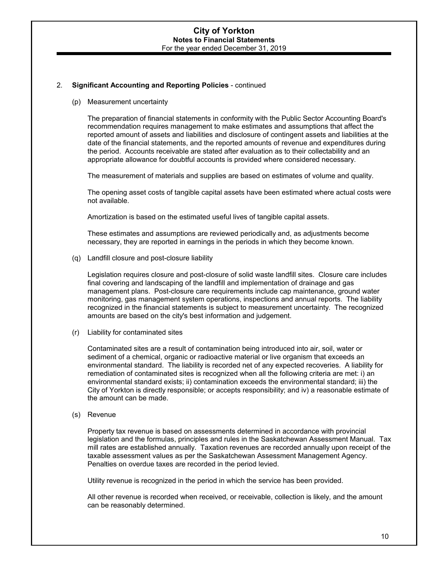#### 2. **Significant Accounting and Reporting Policies** - continued

#### (p) Measurement uncertainty

The preparation of financial statements in conformity with the Public Sector Accounting Board's recommendation requires management to make estimates and assumptions that affect the reported amount of assets and liabilities and disclosure of contingent assets and liabilities at the date of the financial statements, and the reported amounts of revenue and expenditures during the period. Accounts receivable are stated after evaluation as to their collectability and an appropriate allowance for doubtful accounts is provided where considered necessary.

The measurement of materials and supplies are based on estimates of volume and quality.

The opening asset costs of tangible capital assets have been estimated where actual costs were not available.

Amortization is based on the estimated useful lives of tangible capital assets.

These estimates and assumptions are reviewed periodically and, as adjustments become necessary, they are reported in earnings in the periods in which they become known.

(q) Landfill closure and post-closure liability

Legislation requires closure and post-closure of solid waste landfill sites. Closure care includes final covering and landscaping of the landfill and implementation of drainage and gas management plans. Post-closure care requirements include cap maintenance, ground water monitoring, gas management system operations, inspections and annual reports. The liability recognized in the financial statements is subject to measurement uncertainty. The recognized amounts are based on the city's best information and judgement.

(r) Liability for contaminated sites

Contaminated sites are a result of contamination being introduced into air, soil, water or sediment of a chemical, organic or radioactive material or live organism that exceeds an environmental standard. The liability is recorded net of any expected recoveries. A liability for remediation of contaminated sites is recognized when all the following criteria are met: i) an environmental standard exists; ii) contamination exceeds the environmental standard; iii) the City of Yorkton is directly responsible; or accepts responsibility; and iv) a reasonable estimate of the amount can be made.

(s) Revenue

Property tax revenue is based on assessments determined in accordance with provincial legislation and the formulas, principles and rules in the Saskatchewan Assessment Manual. Tax mill rates are established annually. Taxation revenues are recorded annually upon receipt of the taxable assessment values as per the Saskatchewan Assessment Management Agency. Penalties on overdue taxes are recorded in the period levied.

Utility revenue is recognized in the period in which the service has been provided.

All other revenue is recorded when received, or receivable, collection is likely, and the amount can be reasonably determined.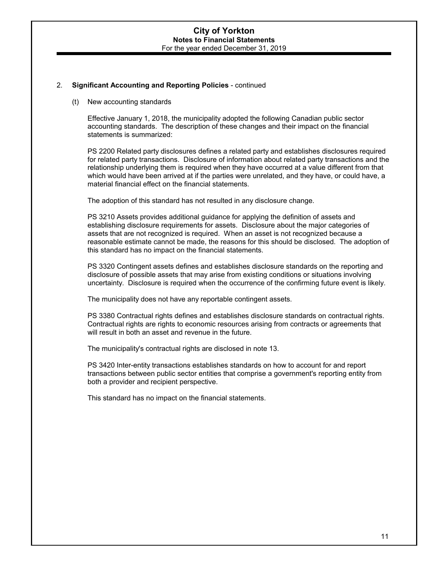#### 2. **Significant Accounting and Reporting Policies** - continued

#### (t) New accounting standards

Effective January 1, 2018, the municipality adopted the following Canadian public sector accounting standards. The description of these changes and their impact on the financial statements is summarized:

PS 2200 Related party disclosures defines a related party and establishes disclosures required for related party transactions. Disclosure of information about related party transactions and the relationship underlying them is required when they have occurred at a value different from that which would have been arrived at if the parties were unrelated, and they have, or could have, a material financial effect on the financial statements.

The adoption of this standard has not resulted in any disclosure change.

PS 3210 Assets provides additional guidance for applying the definition of assets and establishing disclosure requirements for assets. Disclosure about the major categories of assets that are not recognized is required. When an asset is not recognized because a reasonable estimate cannot be made, the reasons for this should be disclosed. The adoption of this standard has no impact on the financial statements.

PS 3320 Contingent assets defines and establishes disclosure standards on the reporting and disclosure of possible assets that may arise from existing conditions or situations involving uncertainty. Disclosure is required when the occurrence of the confirming future event is likely.

The municipality does not have any reportable contingent assets.

PS 3380 Contractual rights defines and establishes disclosure standards on contractual rights. Contractual rights are rights to economic resources arising from contracts or agreements that will result in both an asset and revenue in the future.

The municipality's contractual rights are disclosed in note 13.

PS 3420 Inter-entity transactions establishes standards on how to account for and report transactions between public sector entities that comprise a government's reporting entity from both a provider and recipient perspective.

This standard has no impact on the financial statements.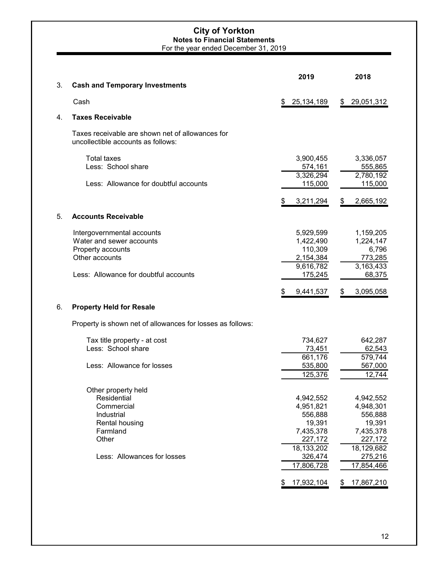# **City of Yorkton**

**Notes to Financial Statements**

For the year ended December 31, 2019

|    |                                                                                                                                      |    | 2019                                                                                                                       |    | 2018                                                                                                                     |
|----|--------------------------------------------------------------------------------------------------------------------------------------|----|----------------------------------------------------------------------------------------------------------------------------|----|--------------------------------------------------------------------------------------------------------------------------|
| 3. | <b>Cash and Temporary Investments</b>                                                                                                |    |                                                                                                                            |    |                                                                                                                          |
|    | Cash                                                                                                                                 | \$ | 25,134,189                                                                                                                 |    | \$29,051,312                                                                                                             |
| 4. | <b>Taxes Receivable</b>                                                                                                              |    |                                                                                                                            |    |                                                                                                                          |
|    | Taxes receivable are shown net of allowances for<br>uncollectible accounts as follows:                                               |    |                                                                                                                            |    |                                                                                                                          |
|    | <b>Total taxes</b><br>Less: School share                                                                                             |    | 3,900,455<br>574,161<br>3,326,294                                                                                          |    | 3,336,057<br>555,865<br>2,780,192                                                                                        |
|    | Less: Allowance for doubtful accounts                                                                                                |    | 115,000                                                                                                                    |    | 115,000                                                                                                                  |
|    |                                                                                                                                      | S  | 3,211,294                                                                                                                  | S. | 2,665,192                                                                                                                |
| 5. | <b>Accounts Receivable</b>                                                                                                           |    |                                                                                                                            |    |                                                                                                                          |
|    | Intergovernmental accounts<br>Water and sewer accounts<br>Property accounts<br>Other accounts                                        |    | 5,929,599<br>1,422,490<br>110,309<br>2,154,384<br>9,616,782                                                                |    | 1,159,205<br>1,224,147<br>6,796<br>773,285<br>3,163,433                                                                  |
|    | Less: Allowance for doubtful accounts                                                                                                |    | 175,245                                                                                                                    |    | 68,375                                                                                                                   |
|    |                                                                                                                                      | S. | 9,441,537                                                                                                                  | \$ | 3,095,058                                                                                                                |
| 6. | <b>Property Held for Resale</b>                                                                                                      |    |                                                                                                                            |    |                                                                                                                          |
|    | Property is shown net of allowances for losses as follows:                                                                           |    |                                                                                                                            |    |                                                                                                                          |
|    | Tax title property - at cost<br>Less: School share                                                                                   |    | 734,627<br>73,451<br>661,176                                                                                               |    | 642,287<br>62,543<br>579,744                                                                                             |
|    | Less: Allowance for losses                                                                                                           |    | 535,800<br>125,376                                                                                                         |    | 567,000<br>12,744                                                                                                        |
|    | Other property held<br>Residential<br>Commercial<br>Industrial<br>Rental housing<br>Farmland<br>Other<br>Less: Allowances for losses |    | 4,942,552<br>4,951,821<br>556,888<br>19,391<br>7,435,378<br>227,172<br>18,133,202<br>326,474<br>17,806,728<br>\$17,932,104 | \$ | 4,942,552<br>4,948,301<br>556,888<br>19,391<br>7,435,378<br>227,172<br>18,129,682<br>275,216<br>17,854,466<br>17,867,210 |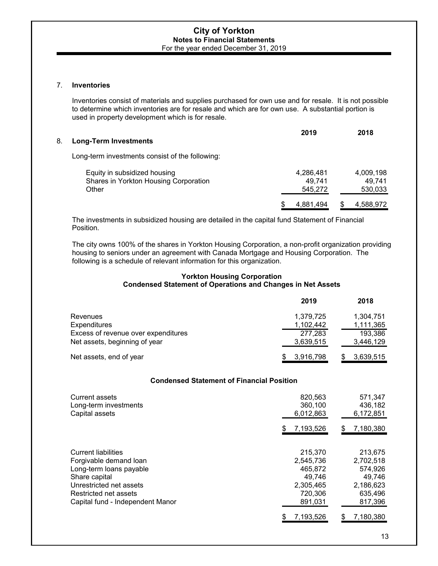#### 7. **Inventories**

Inventories consist of materials and supplies purchased for own use and for resale. It is not possible to determine which inventories are for resale and which are for own use. A substantial portion is used in property development which is for resale.

|    |                                                                                | 2019                           | 2018                           |
|----|--------------------------------------------------------------------------------|--------------------------------|--------------------------------|
| 8. | <b>Long-Term Investments</b>                                                   |                                |                                |
|    | Long-term investments consist of the following:                                |                                |                                |
|    | Equity in subsidized housing<br>Shares in Yorkton Housing Corporation<br>Other | 4,286,481<br>49,741<br>545,272 | 4,009,198<br>49,741<br>530,033 |
|    |                                                                                | 4,881,494                      | 4,588,972                      |

The investments in subsidized housing are detailed in the capital fund Statement of Financial Position.

The city owns 100% of the shares in Yorkton Housing Corporation, a non-profit organization providing housing to seniors under an agreement with Canada Mortgage and Housing Corporation. The following is a schedule of relevant information for this organization.

#### **Yorkton Housing Corporation Condensed Statement of Operations and Changes in Net Assets**

|                                     | 2019      | 2018      |
|-------------------------------------|-----------|-----------|
| Revenues                            | 1,379,725 | 1,304,751 |
| Expenditures                        | 1,102,442 | 1,111,365 |
| Excess of revenue over expenditures | 277.283   | 193.386   |
| Net assets, beginning of year       | 3,639,515 | 3,446,129 |
| Net assets, end of year             | 3,916,798 | 3,639,515 |

#### **Condensed Statement of Financial Position**

| Current assets<br>Long-term investments<br>Capital assets | 820,563<br>360,100<br>6,012,863 | 571,347<br>436,182<br>6,172,851 |
|-----------------------------------------------------------|---------------------------------|---------------------------------|
|                                                           | 7,193,526<br>\$                 | 7,180,380<br>\$                 |
|                                                           |                                 |                                 |
| <b>Current liabilities</b>                                | 215,370                         | 213,675                         |
| Forgivable demand loan                                    | 2,545,736                       | 2,702,518                       |
| Long-term loans payable                                   | 465.872                         | 574,926                         |
| Share capital                                             | 49,746                          | 49,746                          |
| Unrestricted net assets                                   | 2,305,465                       | 2,186,623                       |
| Restricted net assets                                     | 720,306                         | 635,496                         |
| Capital fund - Independent Manor                          | 891,031                         | 817,396                         |
|                                                           | 7.193.526<br>\$                 | 7,180,380<br>\$                 |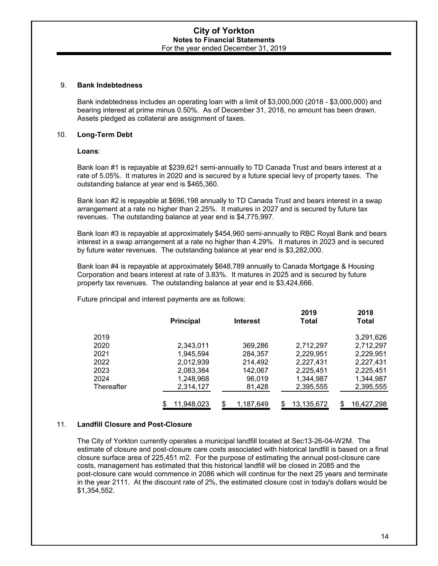#### 9. **Bank Indebtedness**

Bank indebtedness includes an operating loan with a limit of \$3,000,000 (2018 - \$3,000,000) and bearing interest at prime minus 0.50%. As of December 31, 2018, no amount has been drawn. Assets pledged as collateral are assignment of taxes.

#### 10. **Long-Term Debt**

#### **Loans**:

Bank loan #1 is repayable at \$239,621 semi-annually to TD Canada Trust and bears interest at a rate of 5.05%. It matures in 2020 and is secured by a future special levy of property taxes. The outstanding balance at year end is \$465,360.

Bank loan #2 is repayable at \$696,198 annually to TD Canada Trust and bears interest in a swap arrangement at a rate no higher than 2.25%. It matures in 2027 and is secured by future tax revenues. The outstanding balance at year end is \$4,775,997.

Bank loan #3 is repayable at approximately \$454,960 semi-annually to RBC Royal Bank and bears interest in a swap arrangement at a rate no higher than 4.29%. It matures in 2023 and is secured by future water revenues. The outstanding balance at year end is \$3,282,000.

Bank loan #4 is repayable at approximately \$648,789 annually to Canada Mortgage & Housing Corporation and bears interest at rate of 3.83%. It matures in 2025 and is secured by future property tax revenues. The outstanding balance at year end is \$3,424,666.

Future principal and interest payments are as follows:

|            | <b>Principal</b> | <b>Interest</b> | 2019<br>Total    | 2018<br>Total |
|------------|------------------|-----------------|------------------|---------------|
| 2019       |                  |                 |                  | 3,291,626     |
| 2020       | 2,343,011        | 369,286         | 2,712,297        | 2,712,297     |
| 2021       | 1,945,594        | 284,357         | 2,229,951        | 2,229,951     |
| 2022       | 2,012,939        | 214,492         | 2,227,431        | 2,227,431     |
| 2023       | 2,083,384        | 142,067         | 2,225,451        | 2,225,451     |
| 2024       | 1,248,968        | 96.019          | 1,344,987        | 1,344,987     |
| Thereafter | 2,314,127        | 81,428          | 2,395,555        | 2,395,555     |
|            | 11,948,023<br>S  | \$<br>1,187,649 | 13,135,672<br>\$ | 16,427,298    |

#### 11. **Landfill Closure and Post-Closure**

The City of Yorkton currently operates a municipal landfill located at Sec13-26-04-W2M. The estimate of closure and post-closure care costs associated with historical landfill is based on a final closure surface area of 225,451 m2. For the purpose of estimating the annual post-closure care costs, management has estimated that this historical landfill will be closed in 2085 and the post-closure care would commence in 2086 which will continue for the next 25 years and terminate in the year 2111. At the discount rate of 2%, the estimated closure cost in today's dollars would be \$1,354,552.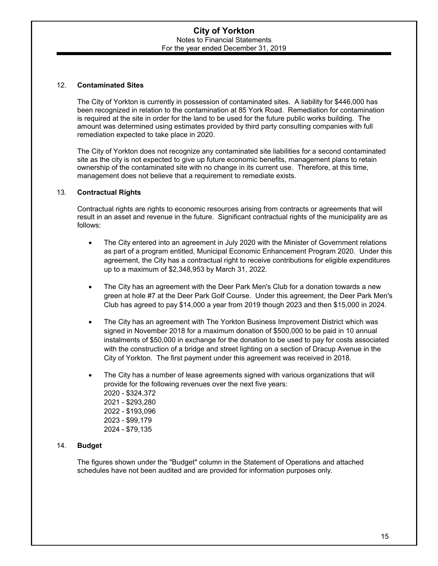#### 12. **Contaminated Sites**

The City of Yorkton is currently in possession of contaminated sites. A liability for \$446,000 has been recognized in relation to the contamination at 85 York Road. Remediation for contamination is required at the site in order for the land to be used for the future public works building. The amount was determined using estimates provided by third party consulting companies with full remediation expected to take place in 2020.

The City of Yorkton does not recognize any contaminated site liabilities for a second contaminated site as the city is not expected to give up future economic benefits, management plans to retain ownership of the contaminated site with no change in its current use. Therefore, at this time, management does not believe that a requirement to remediate exists.

#### 13. **Contractual Rights**

Contractual rights are rights to economic resources arising from contracts or agreements that will result in an asset and revenue in the future. Significant contractual rights of the municipality are as follows:

- The City entered into an agreement in July 2020 with the Minister of Government relations as part of a program entitled, Municipal Economic Enhancement Program 2020. Under this agreement, the City has a contractual right to receive contributions for eligible expenditures up to a maximum of \$2,348,953 by March 31, 2022.
- The City has an agreement with the Deer Park Men's Club for a donation towards a new green at hole #7 at the Deer Park Golf Course. Under this agreement, the Deer Park Men's Club has agreed to pay \$14,000 a year from 2019 though 2023 and then \$15,000 in 2024.
- The City has an agreement with The Yorkton Business Improvement District which was signed in November 2018 for a maximum donation of \$500,000 to be paid in 10 annual instalments of \$50,000 in exchange for the donation to be used to pay for costs associated with the construction of a bridge and street lighting on a section of Dracup Avenue in the City of Yorkton. The first payment under this agreement was received in 2018.

 The City has a number of lease agreements signed with various organizations that will provide for the following revenues over the next five years: 2020 - \$324,372 2021 - \$293,280 2022 - \$193,096 2023 - \$99,179 2024 - \$79,135

#### 14. **Budget**

The figures shown under the "Budget" column in the Statement of Operations and attached schedules have not been audited and are provided for information purposes only.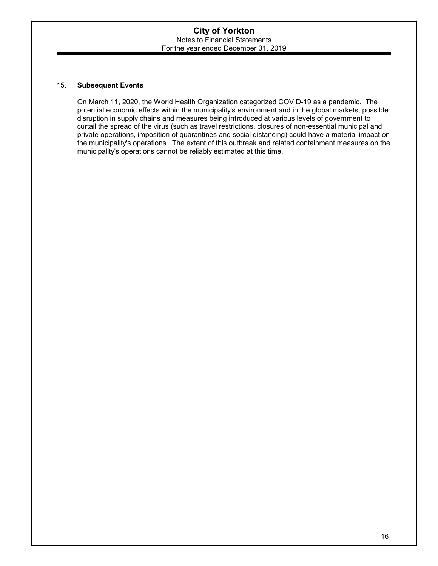#### 15. **Subsequent Events**

On March 11, 2020, the World Health Organization categorized COVID-19 as a pandemic. The potential economic effects within the municipality's environment and in the global markets, possible disruption in supply chains and measures being introduced at various levels of government to curtail the spread of the virus (such as travel restrictions, closures of non-essential municipal and private operations, imposition of quarantines and social distancing) could have a material impact on the municipality's operations. The extent of this outbreak and related containment measures on the municipality's operations cannot be reliably estimated at this time.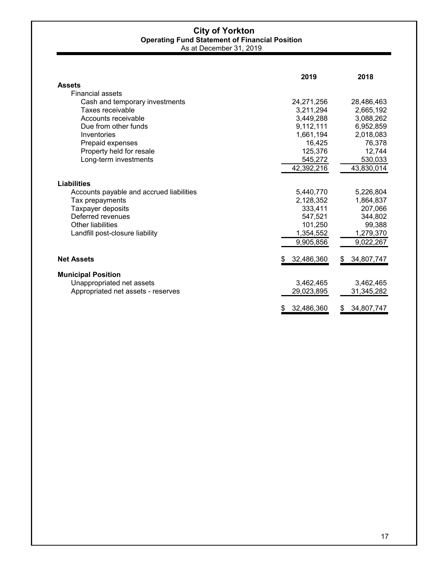# **City of Yorkton Operating Fund Statement of Financial Position**

As at December 31, 2019

|                                          | 2019             | 2018             |
|------------------------------------------|------------------|------------------|
| <b>Assets</b>                            |                  |                  |
| <b>Financial assets</b>                  |                  |                  |
| Cash and temporary investments           | 24,271,256       | 28,486,463       |
| Taxes receivable                         | 3,211,294        | 2,665,192        |
| Accounts receivable                      | 3,449,288        | 3,088,262        |
| Due from other funds                     | 9,112,111        | 6,952,859        |
| Inventories                              | 1,661,194        | 2,018,083        |
| Prepaid expenses                         | 16,425           | 76,378           |
| Property held for resale                 | 125,376          | 12,744           |
| Long-term investments                    | 545,272          | 530,033          |
|                                          | 42,392,216       | 43,830,014       |
| <b>Liabilities</b>                       |                  |                  |
| Accounts payable and accrued liabilities | 5,440,770        | 5,226,804        |
| Tax prepayments                          | 2,128,352        | 1,864,837        |
| Taxpayer deposits                        | 333,411          | 207,066          |
| Deferred revenues                        | 547,521          | 344,802          |
| <b>Other liabilities</b>                 | 101,250          | 99,388           |
| Landfill post-closure liability          | 1,354,552        | 1,279,370        |
|                                          | 9,905,856        | 9,022,267        |
| <b>Net Assets</b>                        | 32,486,360<br>\$ | 34,807,747<br>\$ |
| <b>Municipal Position</b>                |                  |                  |
| Unappropriated net assets                | 3,462,465        | 3,462,465        |
| Appropriated net assets - reserves       | 29,023,895       | 31,345,282       |
|                                          | 32,486,360<br>\$ | \$<br>34,807,747 |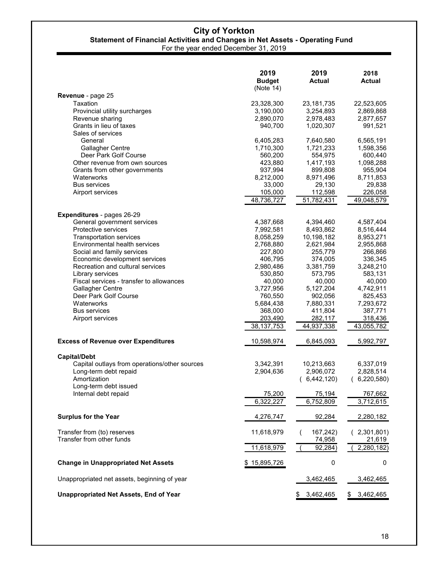#### **City of Yorkton Statement of Financial Activities and Changes in Net Assets - Operating Fund** For the year ended December 31, 2019

|                                                                 | 2019<br><b>Budget</b><br>(Note 14) | 2019<br><b>Actual</b> | 2018<br><b>Actual</b> |
|-----------------------------------------------------------------|------------------------------------|-----------------------|-----------------------|
| Revenue - page 25                                               |                                    |                       |                       |
| Taxation                                                        | 23,328,300                         | 23, 181, 735          | 22,523,605            |
| Provincial utility surcharges                                   | 3,190,000                          | 3,254,893             | 2,869,868             |
| Revenue sharing                                                 | 2,890,070                          | 2,978,483             | 2,877,657             |
| Grants in lieu of taxes                                         | 940,700                            | 1,020,307             | 991,521               |
| Sales of services                                               |                                    |                       |                       |
| General                                                         | 6,405,283                          | 7,640,580             | 6,565,191             |
| Gallagher Centre                                                | 1,710,300                          | 1,721,233             | 1,598,356             |
| Deer Park Golf Course                                           | 560,200                            | 554,975               | 600,440               |
| Other revenue from own sources<br>Grants from other governments | 423,880<br>937,994                 | 1,417,193<br>899,808  | 1,098,288<br>955,904  |
| Waterworks                                                      | 8,212,000                          | 8,971,496             | 8,711,853             |
| <b>Bus services</b>                                             | 33,000                             | 29,130                | 29,838                |
| Airport services                                                | 105,000                            | 112,598               | 226,058               |
|                                                                 | 48,736,727                         | 51,782,431            | 49,048,579            |
|                                                                 |                                    |                       |                       |
| Expenditures - pages 26-29                                      |                                    |                       |                       |
| General government services                                     | 4,387,668                          | 4,394,460             | 4,587,404             |
| Protective services                                             | 7,992,581                          | 8,493,862             | 8,516,444             |
| <b>Transportation services</b>                                  | 8,058,259                          | 10,198,182            | 8,953,271             |
| Environmental health services                                   | 2,768,880                          | 2,621,984             | 2,955,868             |
| Social and family services<br>Economic development services     | 227,800<br>406,795                 | 255,779<br>374,005    | 266,866<br>336,345    |
| Recreation and cultural services                                | 2,980,486                          | 3,381,759             | 3,248,210             |
| Library services                                                | 530,850                            | 573,795               | 583,131               |
| Fiscal services - transfer to allowances                        | 40,000                             | 40,000                | 40,000                |
| Gallagher Centre                                                | 3,727,956                          | 5,127,204             | 4,742,911             |
| Deer Park Golf Course                                           | 760,550                            | 902,056               | 825,453               |
| Waterworks                                                      | 5,684,438                          | 7,880,331             | 7,293,672             |
| <b>Bus services</b>                                             | 368,000                            | 411,804               | 387,771               |
| Airport services                                                | 203,490                            | 282,117               | 318,436               |
|                                                                 | 38,137,753                         | 44,937,338            | 43,055,782            |
| <b>Excess of Revenue over Expenditures</b>                      | 10,598,974                         | 6,845,093             | 5,992,797             |
| <b>Capital/Debt</b>                                             |                                    |                       |                       |
| Capital outlays from operations/other sources                   | 3,342,391                          | 10,213,663            | 6,337,019             |
| Long-term debt repaid                                           | 2,904,636                          | 2,906,072             | 2,828,514             |
| Amortization                                                    |                                    | (6,442,120)           | (6,220,580)           |
| Long-term debt issued                                           |                                    |                       |                       |
| Internal debt repaid                                            | 75,200                             | 75,194                | 767,662               |
|                                                                 | 6,322,227                          | 6,752,809             | 3,712,615             |
| <b>Surplus for the Year</b>                                     | 4,276,747                          | 92,284                | 2,280,182             |
| Transfer from (to) reserves                                     | 11,618,979                         | 167,242)              | 2,301,801)            |
| Transfer from other funds                                       |                                    | 74,958                | 21,619                |
|                                                                 | 11,618,979                         | 92,284)               | 2,280,182)            |
| <b>Change in Unappropriated Net Assets</b>                      | \$15,895,726                       | 0                     | 0                     |
| Unappropriated net assets, beginning of year                    |                                    | 3,462,465             | 3,462,465             |
| <b>Unappropriated Net Assets, End of Year</b>                   |                                    | 3,462,465<br>\$       | \$<br>3,462,465       |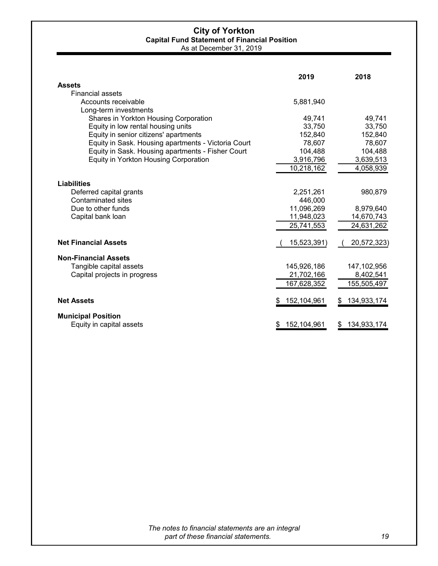# **City of Yorkton Capital Fund Statement of Financial Position**

As at December 31, 2019

|                                                     | 2019              | 2018              |
|-----------------------------------------------------|-------------------|-------------------|
| <b>Assets</b>                                       |                   |                   |
| <b>Financial assets</b>                             |                   |                   |
| Accounts receivable                                 | 5,881,940         |                   |
| Long-term investments                               |                   |                   |
| Shares in Yorkton Housing Corporation               | 49,741            | 49,741            |
| Equity in low rental housing units                  | 33,750            | 33,750            |
| Equity in senior citizens' apartments               | 152,840           | 152,840           |
| Equity in Sask. Housing apartments - Victoria Court | 78,607            | 78,607            |
| Equity in Sask. Housing apartments - Fisher Court   | 104,488           | 104,488           |
| Equity in Yorkton Housing Corporation               | 3,916,796         | 3,639,513         |
|                                                     | 10,218,162        | 4,058,939         |
|                                                     |                   |                   |
| <b>Liabilities</b>                                  |                   |                   |
| Deferred capital grants                             | 2,251,261         | 980,879           |
| Contaminated sites                                  | 446,000           |                   |
| Due to other funds                                  | 11,096,269        | 8,979,640         |
| Capital bank loan                                   | 11,948,023        | 14,670,743        |
|                                                     | 25,741,553        | 24,631,262        |
| <b>Net Financial Assets</b>                         | 15,523,391)       | 20,572,323)       |
| <b>Non-Financial Assets</b>                         |                   |                   |
| Tangible capital assets                             | 145,926,186       | 147,102,956       |
| Capital projects in progress                        | 21,702,166        | 8,402,541         |
|                                                     | 167,628,352       | 155,505,497       |
| <b>Net Assets</b>                                   | 152,104,961<br>S. | 134,933,174<br>S  |
| <b>Municipal Position</b>                           |                   |                   |
| Equity in capital assets                            | \$<br>152,104,961 | 134,933,174<br>\$ |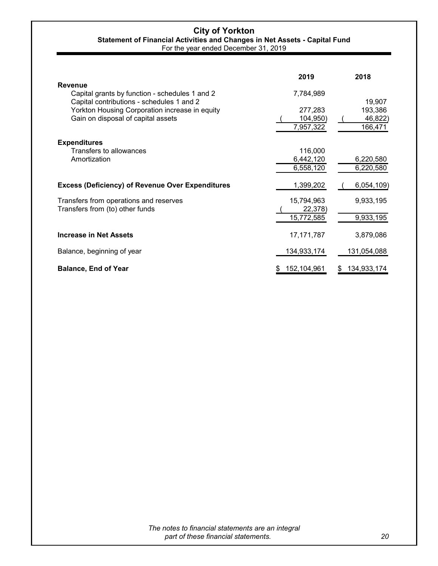# **City of Yorkton Statement of Financial Activities and Changes in Net Assets - Capital Fund**

| For the year ended December 31, 2019 |  |
|--------------------------------------|--|
|--------------------------------------|--|

|                                                                                      | 2019                | 2018               |
|--------------------------------------------------------------------------------------|---------------------|--------------------|
| <b>Revenue</b><br>Capital grants by function - schedules 1 and 2                     | 7,784,989           |                    |
| Capital contributions - schedules 1 and 2                                            |                     | 19,907             |
| Yorkton Housing Corporation increase in equity<br>Gain on disposal of capital assets | 277,283<br>104,950) | 193,386<br>46,822) |
|                                                                                      | 7,957,322           | 166,471            |
| <b>Expenditures</b>                                                                  |                     |                    |
| Transfers to allowances                                                              | 116,000             |                    |
| Amortization                                                                         | 6,442,120           | 6,220,580          |
|                                                                                      | 6,558,120           | 6,220,580          |
| <b>Excess (Deficiency) of Revenue Over Expenditures</b>                              | 1,399,202           | 6,054,109)         |
| Transfers from operations and reserves                                               | 15,794,963          | 9,933,195          |
| Transfers from (to) other funds                                                      | 22,378)             |                    |
|                                                                                      | 15,772,585          | 9,933,195          |
| <b>Increase in Net Assets</b>                                                        | 17, 171, 787        | 3,879,086          |
| Balance, beginning of year                                                           | 134,933,174         | 131,054,088        |
| <b>Balance, End of Year</b>                                                          | 152,104,961<br>S    | 134,933,174<br>\$  |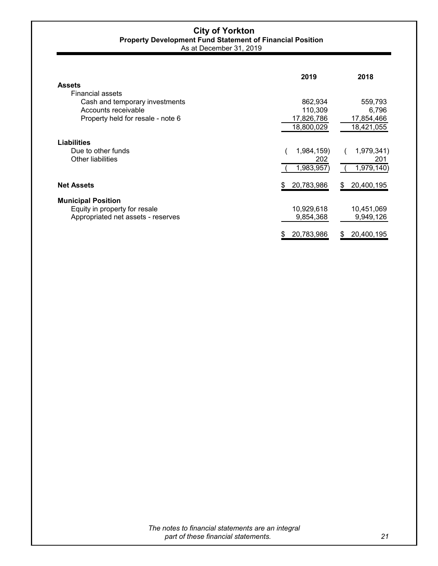#### **City of Yorkton Property Development Fund Statement of Financial Position** As at December 31, 2019

|                                    | 2019             | 2018             |
|------------------------------------|------------------|------------------|
| <b>Assets</b>                      |                  |                  |
| <b>Financial assets</b>            |                  |                  |
| Cash and temporary investments     | 862,934          | 559,793          |
| Accounts receivable                | 110,309          | 6,796            |
| Property held for resale - note 6  | 17,826,786       | 17,854,466       |
|                                    | 18,800,029       | 18,421,055       |
| Liabilities                        |                  |                  |
| Due to other funds                 | 1,984,159)       | 1,979,341)       |
| Other liabilities                  | 202              | 201              |
|                                    | 1,983,957)       | 1,979,140)       |
| <b>Net Assets</b>                  | 20,783,986<br>\$ | 20,400,195<br>\$ |
| <b>Municipal Position</b>          |                  |                  |
| Equity in property for resale      | 10,929,618       | 10,451,069       |
| Appropriated net assets - reserves | 9,854,368        | 9,949,126        |
|                                    | 20,783,986<br>\$ | 20,400,195<br>S  |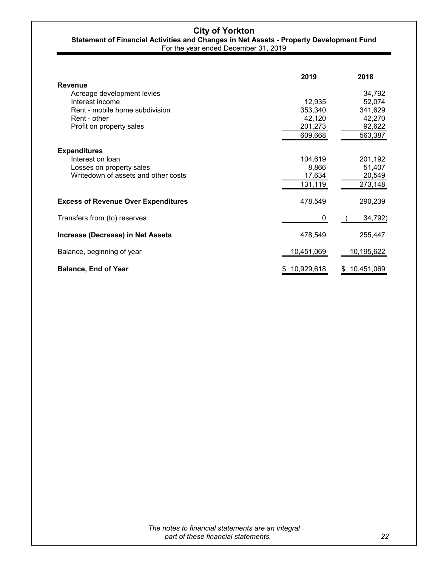## **City of Yorkton**

#### **Statement of Financial Activities and Changes in Net Assets - Property Development Fund** For the year ended December 31, 2019

|                                            | 2019             | 2018         |
|--------------------------------------------|------------------|--------------|
| <b>Revenue</b>                             |                  |              |
| Acreage development levies                 |                  | 34,792       |
| Interest income                            | 12,935           | 52,074       |
| Rent - mobile home subdivision             | 353.340          | 341,629      |
| Rent - other                               | 42,120           | 42,270       |
| Profit on property sales                   | 201,273          | 92,622       |
|                                            | 609,668          | 563,387      |
| <b>Expenditures</b>                        |                  |              |
| Interest on loan                           | 104,619          | 201,192      |
| Losses on property sales                   | 8,866            | 51,407       |
| Writedown of assets and other costs        | 17,634           | 20,549       |
|                                            | 131,119          | 273,148      |
|                                            |                  |              |
| <b>Excess of Revenue Over Expenditures</b> | 478,549          | 290,239      |
| Transfers from (to) reserves               | 0                | 34,792)      |
|                                            |                  |              |
| Increase (Decrease) in Net Assets          | 478,549          | 255,447      |
| Balance, beginning of year                 | 10,451,069       | 10,195,622   |
| <b>Balance, End of Year</b>                | 10,929,618<br>\$ | \$10,451,069 |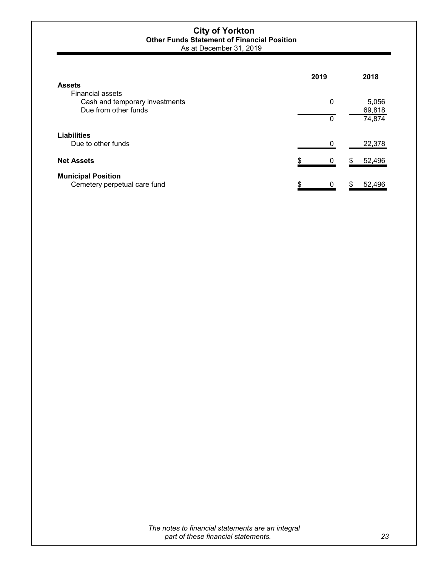#### **City of Yorkton Other Funds Statement of Financial Position**

As at December 31, 2019

| <b>Assets</b>                                                                     | 2019         | 2018            |
|-----------------------------------------------------------------------------------|--------------|-----------------|
| <b>Financial assets</b><br>Cash and temporary investments<br>Due from other funds | 0            | 5,056<br>69,818 |
|                                                                                   | 0            | 74,874          |
| <b>Liabilities</b>                                                                |              |                 |
| Due to other funds                                                                | <sup>0</sup> | 22,378          |
| <b>Net Assets</b>                                                                 | \$<br>0      | \$<br>52,496    |
| <b>Municipal Position</b><br>Cemetery perpetual care fund                         | \$<br>0      | \$<br>52,496    |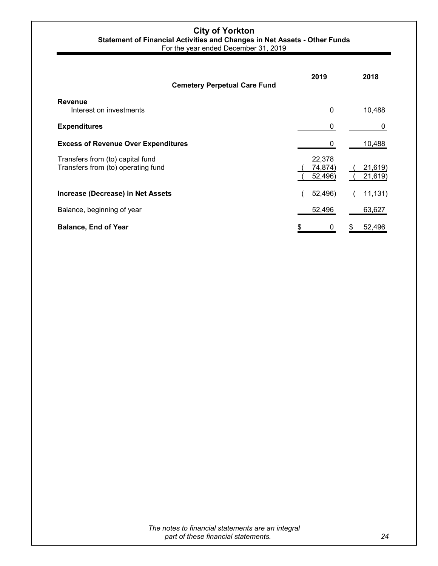#### **City of Yorkton Statement of Financial Activities and Changes in Net Assets - Other Funds**

For the year ended December 31, 2019

| <b>Cemetery Perpetual Care Fund</b>                                    | 2019                         | 2018               |
|------------------------------------------------------------------------|------------------------------|--------------------|
| <b>Revenue</b><br>Interest on investments                              | 0                            | 10,488             |
| <b>Expenditures</b>                                                    | 0                            | 0                  |
| <b>Excess of Revenue Over Expenditures</b>                             | 0                            | 10,488             |
| Transfers from (to) capital fund<br>Transfers from (to) operating fund | 22,378<br>74,874)<br>52,496) | 21,619)<br>21,619) |
| Increase (Decrease) in Net Assets                                      | 52,496)                      | 11,131)            |
| Balance, beginning of year                                             | 52,496                       | 63,627             |
| <b>Balance, End of Year</b>                                            | \$<br>0                      | \$<br>52,496       |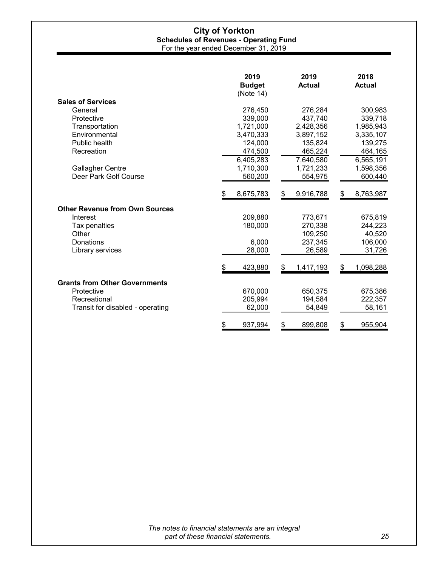#### **City of Yorkton Schedules of Revenues - Operating Fund**

For the year ended December 31, 2019

|                                       | 2019<br><b>Budget</b><br>(Note 14) | 2019<br><b>Actual</b> | 2018<br><b>Actual</b> |
|---------------------------------------|------------------------------------|-----------------------|-----------------------|
| <b>Sales of Services</b>              |                                    |                       |                       |
| General                               | 276,450                            | 276,284               | 300,983               |
| Protective                            | 339,000                            | 437,740               | 339,718               |
| Transportation                        | 1,721,000                          | 2,428,356             | 1,985,943             |
| Environmental                         | 3,470,333                          | 3,897,152             | 3,335,107             |
| Public health                         | 124,000                            | 135,824               | 139,275               |
| Recreation                            | 474,500                            | 465,224               | 464,165               |
|                                       | 6,405,283                          | 7,640,580             | 6,565,191             |
| <b>Gallagher Centre</b>               | 1,710,300                          | 1,721,233             | 1,598,356             |
| Deer Park Golf Course                 | 560,200                            | 554,975               | 600,440               |
|                                       | 8,675,783<br>S                     | 9,916,788<br>\$       | 8,763,987<br>\$       |
| <b>Other Revenue from Own Sources</b> |                                    |                       |                       |
| Interest                              | 209,880                            | 773,671               | 675,819               |
| Tax penalties                         | 180,000                            | 270,338               | 244,223               |
| Other                                 |                                    | 109,250               | 40,520                |
| Donations                             | 6,000                              | 237,345               | 106,000               |
| Library services                      | 28,000                             | 26,589                | 31,726                |
|                                       | \$<br>423,880                      | \$<br>1,417,193       | \$<br>1,098,288       |
| <b>Grants from Other Governments</b>  |                                    |                       |                       |
| Protective                            | 670,000                            | 650,375               | 675,386               |
| Recreational                          | 205,994                            | 194,584               | 222,357               |
| Transit for disabled - operating      | 62,000                             | 54,849                | 58,161                |
|                                       | \$<br>937,994                      | 899,808<br>\$         | \$<br>955,904         |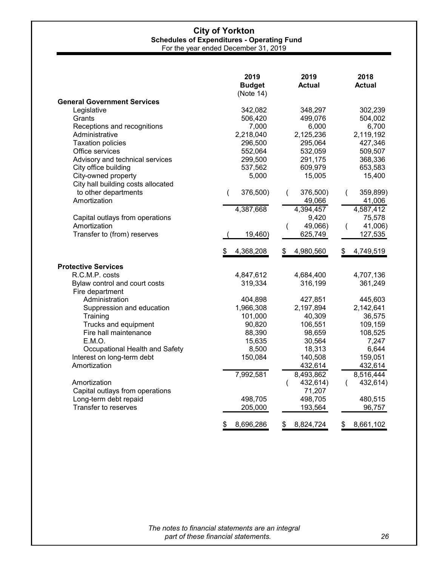#### **City of Yorkton Schedules of Expenditures - Operating Fund** For the year ended December 31, 2019

|                                    | 2019<br><b>Budget</b><br>(Note 14) | 2019<br><b>Actual</b> | 2018<br><b>Actual</b> |
|------------------------------------|------------------------------------|-----------------------|-----------------------|
| <b>General Government Services</b> |                                    |                       |                       |
| Legislative                        | 342,082                            | 348,297               | 302,239               |
| Grants                             | 506,420                            | 499,076               | 504,002               |
| Receptions and recognitions        | 7,000                              | 6,000                 | 6,700                 |
| Administrative                     | 2,218,040                          | 2,125,236             | 2,119,192             |
| <b>Taxation policies</b>           | 296,500                            | 295,064               | 427,346               |
| Office services                    | 552,064                            | 532,059               | 509,507               |
| Advisory and technical services    | 299,500                            | 291,175               | 368,336               |
| City office building               | 537,562                            | 609,979               | 653,583               |
| City-owned property                | 5,000                              | 15,005                | 15,400                |
| City hall building costs allocated |                                    |                       |                       |
| to other departments               | 376,500)<br>(                      | 376,500)              | 359,899)<br>(         |
| Amortization                       |                                    | 49,066                | 41,006                |
|                                    | 4,387,668                          | 4,394,457             | 4,587,412             |
| Capital outlays from operations    |                                    | 9,420                 | 75,578                |
| Amortization                       |                                    | 49,066)               | 41,006)<br>(          |
| Transfer to (from) reserves        | 19,460)                            | 625,749               | 127,535               |
|                                    | 4,368,208                          | 4,980,560<br>\$       | 4,749,519<br>\$       |
| <b>Protective Services</b>         |                                    |                       |                       |
| R.C.M.P. costs                     | 4,847,612                          | 4,684,400             | 4,707,136             |
| Bylaw control and court costs      | 319,334                            | 316,199               | 361,249               |
| Fire department                    |                                    |                       |                       |
| Administration                     | 404,898                            | 427,851               | 445,603               |
| Suppression and education          | 1,966,308                          | 2,197,894             | 2,142,641             |
| Training                           | 101,000                            | 40,309                | 36,575                |
| Trucks and equipment               | 90,820                             | 106,551               | 109,159               |
| Fire hall maintenance              | 88,390                             | 98,659                | 108,525               |
| E.M.O.                             | 15,635                             | 30,564                | 7,247                 |
| Occupational Health and Safety     | 8,500                              | 18,313                | 6,644                 |
| Interest on long-term debt         | 150,084                            | 140,508               | 159,051               |
| Amortization                       |                                    | 432,614               | 432,614               |
|                                    | 7,992,581                          | 8,493,862             | 8,516,444             |
| Amortization                       |                                    | 432,614)<br>€         | 432,614)<br>(         |
| Capital outlays from operations    |                                    | 71,207                |                       |
| Long-term debt repaid              | 498,705                            | 498,705               | 480,515               |
| Transfer to reserves               | 205,000                            | 193,564               | 96,757                |
|                                    | 8,696,286<br>\$                    | 8,824,724<br>\$       | \$<br>8,661,102       |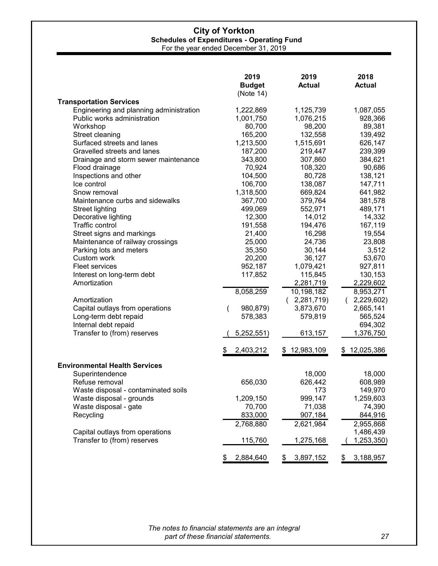#### **City of Yorkton Schedules of Expenditures - Operating Fund** For the year ended December 31, 2019

|                                         | 2019<br><b>Budget</b><br>(Note 14) | 2019<br><b>Actual</b> | 2018<br><b>Actual</b> |
|-----------------------------------------|------------------------------------|-----------------------|-----------------------|
| <b>Transportation Services</b>          |                                    |                       |                       |
| Engineering and planning administration | 1,222,869                          | 1,125,739             | 1,087,055             |
| Public works administration             | 1,001,750                          | 1,076,215             | 928,366               |
| Workshop                                | 80,700                             | 98,200                | 89,381                |
| Street cleaning                         | 165,200                            | 132,558               | 139,492               |
| Surfaced streets and lanes              | 1,213,500                          | 1,515,691             | 626,147               |
| Gravelled streets and lanes             | 187,200                            | 219,447               | 239,399               |
| Drainage and storm sewer maintenance    | 343,800                            | 307,860               | 384,621               |
| Flood drainage                          | 70,924                             | 108,320               | 90,686                |
| Inspections and other                   | 104,500                            | 80,728                | 138,121               |
| Ice control                             | 106,700                            | 138,087               | 147,711               |
| Snow removal                            | 1,318,500                          | 669,824               | 641,982               |
| Maintenance curbs and sidewalks         | 367,700                            | 379,764               | 381,578               |
| <b>Street lighting</b>                  | 499,069                            | 552,971               | 489,171               |
| Decorative lighting                     | 12,300                             | 14,012                | 14,332                |
| <b>Traffic control</b>                  | 191,558                            | 194,476               | 167,119               |
| Street signs and markings               | 21,400                             | 16,298                | 19,554                |
| Maintenance of railway crossings        | 25,000                             | 24,736                | 23,808                |
| Parking lots and meters                 | 35,350                             | 30,144                | 3,512                 |
| Custom work                             | 20,200                             | 36,127                | 53,670                |
| <b>Fleet services</b>                   | 952,187                            | 1,079,421             | 927,811               |
| Interest on long-term debt              | 117,852                            | 115,845               | 130,153               |
| Amortization                            |                                    | 2,281,719             | 2,229,602             |
|                                         | 8,058,259                          | 10,198,182            | 8,953,271             |
| Amortization                            |                                    | 2,281,719)<br>(       | 2,229,602)            |
| Capital outlays from operations         | 980,879)                           | 3,873,670             | 2,665,141             |
| Long-term debt repaid                   | 578,383                            | 579,819               | 565,524               |
| Internal debt repaid                    |                                    |                       | 694,302               |
| Transfer to (from) reserves             | 5,252,551)                         | 613,157               | 1,376,750             |
|                                         | 2,403,212<br>\$                    | \$12,983,109          | \$12,025,386          |
| <b>Environmental Health Services</b>    |                                    |                       |                       |
| Superintendence                         |                                    | 18,000                | 18,000                |
| Refuse removal                          | 656,030                            | 626,442               | 608,989               |
| Waste disposal - contaminated soils     |                                    | 173                   | 149,970               |
| Waste disposal - grounds                | 1,209,150                          | 999,147               | 1,259,603             |
| Waste disposal - gate                   | 70,700                             | 71,038                | 74,390                |
| Recycling                               | 833,000                            | 907,184               | 844,916               |
|                                         | 2,768,880                          | 2,621,984             | 2,955,868             |
| Capital outlays from operations         |                                    |                       | 1,486,439             |
| Transfer to (from) reserves             | 115,760                            | 1,275,168             | 1,253,350)            |
|                                         | 2,884,640<br>\$                    | 3,897,152<br>\$.      | 3,188,957<br>\$       |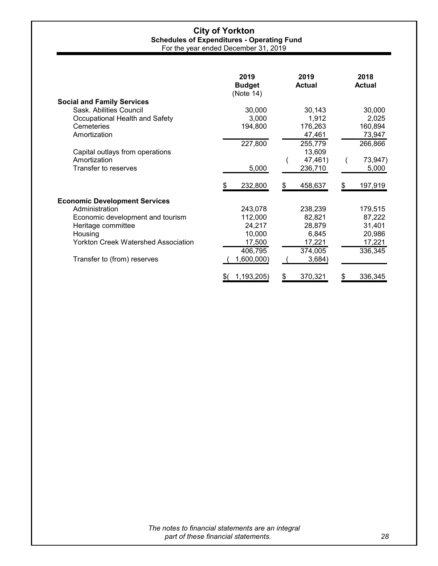# **City of Yorkton Schedules of Expenditures - Operating Fund**

For the year ended December 31, 2019

|                                            | 2019<br><b>Budget</b><br>(Note 14) | 2019<br><b>Actual</b> | 2018<br><b>Actual</b> |
|--------------------------------------------|------------------------------------|-----------------------|-----------------------|
| <b>Social and Family Services</b>          |                                    |                       |                       |
| Sask. Abilities Council                    | 30,000                             | 30,143                | 30,000                |
| Occupational Health and Safety             | 3,000                              | 1,912                 | 2,025                 |
| Cemeteries                                 | 194,800                            | 176,263               | 160,894               |
| Amortization                               |                                    | 47,461                | 73,947                |
|                                            | 227,800                            | 255,779               | 266,866               |
| Capital outlays from operations            |                                    | 13,609                |                       |
| Amortization                               |                                    | 47,461)               | 73,947)               |
| Transfer to reserves                       | 5,000                              | 236,710               | 5,000                 |
|                                            | 232,800                            | 458,637<br>S          | 197,919<br>\$         |
| <b>Economic Development Services</b>       |                                    |                       |                       |
| Administration                             | 243,078                            | 238,239               | 179,515               |
| Economic development and tourism           | 112,000                            | 82,821                | 87,222                |
| Heritage committee                         | 24,217                             | 28,879                | 31,401                |
| Housing                                    | 10,000                             | 6,845                 | 20,986                |
| <b>Yorkton Creek Watershed Association</b> | 17,500                             | 17,221                | 17,221                |
|                                            | 406,795                            | 374,005               | 336,345               |
| Transfer to (from) reserves                | 1,600,000)                         | 3,684)                |                       |
|                                            | 1,193,205)<br>\$(                  | 370,321<br>S          | 336,345<br>\$         |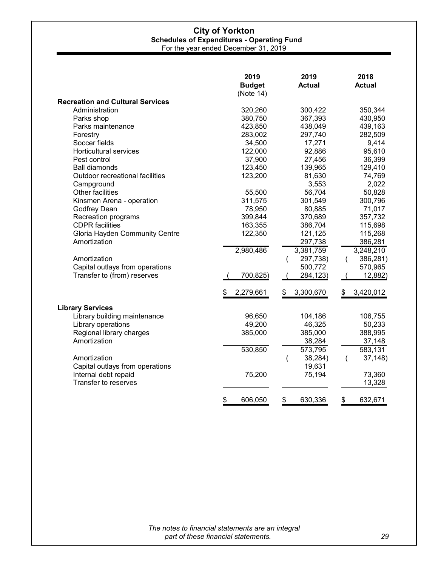#### **City of Yorkton Schedules of Expenditures - Operating Fund** For the year ended December 31, 2019

|                                         | 2019<br><b>Budget</b><br>(Note 14) | 2019<br><b>Actual</b> | 2018<br><b>Actual</b> |
|-----------------------------------------|------------------------------------|-----------------------|-----------------------|
| <b>Recreation and Cultural Services</b> |                                    |                       |                       |
| Administration                          | 320,260                            | 300,422               | 350,344               |
| Parks shop                              | 380,750                            | 367,393               | 430,950               |
| Parks maintenance                       | 423,850                            | 438,049               | 439,163               |
| Forestry                                | 283,002                            | 297,740               | 282,509               |
| Soccer fields                           | 34,500                             | 17,271                | 9,414                 |
| <b>Horticultural services</b>           | 122,000                            | 92,886                | 95,610                |
| Pest control                            | 37,900                             | 27,456                | 36,399                |
| <b>Ball diamonds</b>                    | 123,450                            | 139,965               | 129,410               |
| Outdoor recreational facilities         | 123,200                            | 81,630                | 74,769                |
| Campground                              |                                    | 3,553                 | 2,022                 |
| Other facilities                        | 55,500                             | 56,704                | 50,828                |
| Kinsmen Arena - operation               | 311,575                            | 301,549               | 300,796               |
| Godfrey Dean                            | 78,950                             | 80,885                | 71,017                |
| Recreation programs                     | 399,844                            | 370,689               | 357,732               |
| <b>CDPR</b> facilities                  | 163,355                            | 386,704               | 115,698               |
| Gloria Hayden Community Centre          | 122,350                            | 121,125               | 115,268               |
| Amortization                            |                                    | 297,738               | 386,281               |
|                                         | 2,980,486                          | 3,381,759             | 3,248,210             |
| Amortization                            |                                    | 297,738)              | 386,281)<br>(         |
| Capital outlays from operations         |                                    | 500,772               | 570,965               |
| Transfer to (from) reserves             | 700,825)                           | 284,123)              | 12,882)               |
|                                         | 2,279,661<br>SS                    | 3,300,670<br>S.       | 3,420,012<br>\$.      |
| <b>Library Services</b>                 |                                    |                       |                       |
| Library building maintenance            | 96,650                             | 104,186               | 106,755               |
| Library operations                      | 49,200                             | 46,325                | 50,233                |
| Regional library charges                | 385,000                            | 385,000               | 388,995               |
| Amortization                            |                                    | 38,284                | 37,148                |
|                                         | 530,850                            | 573,795               | 583,131               |
| Amortization                            |                                    | 38,284)<br>(          | 37,148<br>(           |
| Capital outlays from operations         |                                    | 19,631                |                       |
| Internal debt repaid                    | 75,200                             | 75,194                | 73,360                |
| Transfer to reserves                    |                                    |                       | 13,328                |
|                                         | \$<br>606,050                      | \$<br>630,336         | 632,671<br>\$         |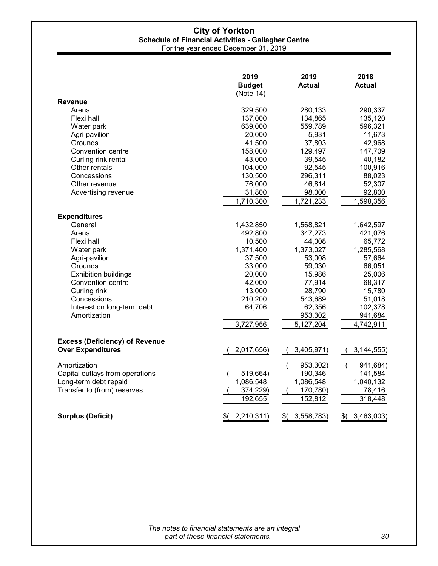# **City of Yorkton Schedule of Financial Activities - Gallagher Centre**

For the year ended December 31, 2019

|                                       | 2019<br><b>Budget</b><br>(Note 14) | 2019<br><b>Actual</b> | 2018<br><b>Actual</b> |
|---------------------------------------|------------------------------------|-----------------------|-----------------------|
| <b>Revenue</b>                        |                                    |                       |                       |
| Arena                                 | 329,500                            | 280,133               | 290,337               |
| Flexi hall                            | 137,000                            | 134,865               | 135,120               |
| Water park                            | 639,000                            | 559,789               | 596,321               |
| Agri-pavilion                         | 20,000                             | 5,931                 | 11,673                |
| Grounds                               | 41,500                             | 37,803                | 42,968                |
| Convention centre                     | 158,000                            | 129,497               | 147,709               |
| Curling rink rental                   | 43,000                             | 39,545                | 40,182                |
| Other rentals                         | 104,000                            | 92,545                | 100,916               |
| Concessions                           | 130,500                            | 296,311               | 88,023                |
| Other revenue                         | 76,000                             | 46,814                | 52,307                |
| Advertising revenue                   | 31,800                             | 98,000                | 92,800                |
|                                       | 1,710,300                          | 1,721,233             | 1,598,356             |
| <b>Expenditures</b>                   |                                    |                       |                       |
| General                               | 1,432,850                          | 1,568,821             | 1,642,597             |
| Arena                                 | 492,800                            | 347,273               | 421,076               |
| Flexi hall                            | 10,500                             | 44,008                | 65,772                |
| Water park                            | 1,371,400                          | 1,373,027             | 1,285,568             |
| Agri-pavilion                         | 37,500                             | 53,008                | 57,664                |
| Grounds                               | 33,000                             | 59,030                | 66,051                |
| <b>Exhibition buildings</b>           | 20,000                             | 15,986                | 25,006                |
| Convention centre                     | 42,000                             | 77,914                | 68,317                |
| Curling rink                          | 13,000                             | 28,790                | 15,780                |
| Concessions                           | 210,200                            | 543,689               | 51,018                |
| Interest on long-term debt            | 64,706                             | 62,356                | 102,378               |
| Amortization                          |                                    | 953,302               | 941,684               |
|                                       | 3,727,956                          | 5,127,204             | 4,742,911             |
| <b>Excess (Deficiency) of Revenue</b> |                                    |                       |                       |
| <b>Over Expenditures</b>              | 2,017,656)                         | 3,405,971)            | 3,144,555             |
| Amortization                          |                                    | 953,302)              | 941,684)<br>(         |
| Capital outlays from operations       | 519,664)                           | 190,346               | 141,584               |
| Long-term debt repaid                 | 1,086,548                          | 1,086,548             | 1,040,132             |
| Transfer to (from) reserves           | 374,229)                           | 170,780)              | 78,416                |
|                                       | 192,655                            | 152,812               | 318,448               |
| <b>Surplus (Deficit)</b>              | \$(2,210,311)                      | \$(3,558,783)         | 3,463,003)<br>\$(     |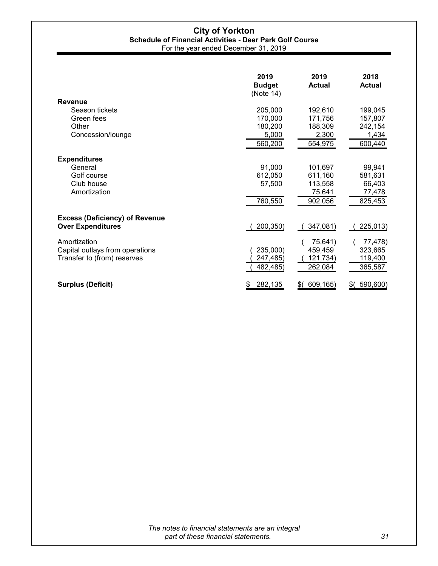#### **City of Yorkton Schedule of Financial Activities - Deer Park Golf Course** For the year ended December 31, 2019

|                                       | 2019<br><b>Budget</b><br>(Note 14) | 2019<br>Actual     | 2018<br><b>Actual</b> |
|---------------------------------------|------------------------------------|--------------------|-----------------------|
| <b>Revenue</b>                        |                                    |                    |                       |
| Season tickets<br>Green fees          | 205,000                            | 192,610            | 199,045               |
| Other                                 | 170,000<br>180,200                 | 171,756<br>188,309 | 157,807<br>242,154    |
| Concession/lounge                     | 5,000                              | 2,300              | 1,434                 |
|                                       | 560,200                            | 554,975            | 600,440               |
| <b>Expenditures</b>                   |                                    |                    |                       |
| General                               | 91,000                             | 101,697            | 99,941                |
| Golf course                           | 612,050                            | 611,160            | 581,631               |
| Club house                            | 57,500                             | 113,558            | 66,403                |
| Amortization                          |                                    | 75,641             | 77,478                |
|                                       | 760,550                            | 902,056            | 825,453               |
| <b>Excess (Deficiency) of Revenue</b> |                                    |                    |                       |
| <b>Over Expenditures</b>              | 200,350)                           | 347,081)           | 225,013)              |
| Amortization                          |                                    | 75,641)            | 77,478)               |
| Capital outlays from operations       | 235,000)                           | 459,459            | 323,665               |
| Transfer to (from) reserves           | 247,485)                           | 121,734)           | 119,400               |
|                                       | 482,485)                           | 262,084            | 365,587               |
| <b>Surplus (Deficit)</b>              | 282,135<br>\$.                     | 609,165)<br>\$(    | \$( 590, 600)         |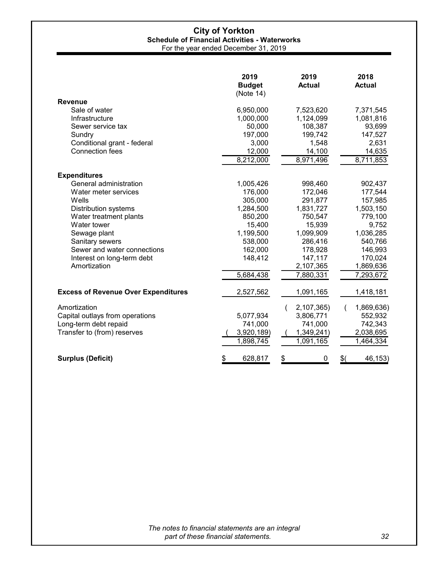#### **City of Yorkton Schedule of Financial Activities - Waterworks**

For the year ended December 31, 2019

|                                                                                                                                                                                                                                                                        | 2019<br><b>Budget</b><br>(Note 14)                                                                                           | 2019<br><b>Actual</b>                                                                                                                   | 2018<br><b>Actual</b>                                                                                                                  |
|------------------------------------------------------------------------------------------------------------------------------------------------------------------------------------------------------------------------------------------------------------------------|------------------------------------------------------------------------------------------------------------------------------|-----------------------------------------------------------------------------------------------------------------------------------------|----------------------------------------------------------------------------------------------------------------------------------------|
| <b>Revenue</b><br>Sale of water<br>Infrastructure<br>Sewer service tax<br>Sundry<br>Conditional grant - federal<br><b>Connection fees</b>                                                                                                                              | 6,950,000<br>1,000,000<br>50,000<br>197,000<br>3,000<br>12,000<br>8,212,000                                                  | 7,523,620<br>1,124,099<br>108,387<br>199,742<br>1,548<br>14,100<br>8,971,496                                                            | 7,371,545<br>1,081,816<br>93,699<br>147,527<br>2,631<br>14,635<br>8,711,853                                                            |
| <b>Expenditures</b><br>General administration<br>Water meter services<br>Wells<br><b>Distribution systems</b><br>Water treatment plants<br>Water tower<br>Sewage plant<br>Sanitary sewers<br>Sewer and water connections<br>Interest on long-term debt<br>Amortization | 1,005,426<br>176,000<br>305,000<br>1,284,500<br>850,200<br>15,400<br>1,199,500<br>538,000<br>162,000<br>148,412<br>5,684,438 | 998,460<br>172,046<br>291,877<br>1,831,727<br>750,547<br>15,939<br>1,099,909<br>286,416<br>178,928<br>147,117<br>2,107,365<br>7,880,331 | 902,437<br>177,544<br>157,985<br>1,503,150<br>779,100<br>9,752<br>1,036,285<br>540,766<br>146,993<br>170,024<br>1,869,636<br>7,293,672 |
| <b>Excess of Revenue Over Expenditures</b>                                                                                                                                                                                                                             | 2,527,562                                                                                                                    | 1,091,165                                                                                                                               | 1,418,181                                                                                                                              |
| Amortization<br>Capital outlays from operations<br>Long-term debt repaid<br>Transfer to (from) reserves                                                                                                                                                                | 5,077,934<br>741,000<br>3,920,189)<br>1,898,745                                                                              | 2,107,365)<br>3,806,771<br>741,000<br>1,349,241)<br>1,091,165                                                                           | 1,869,636)<br>552,932<br>742,343<br>2,038,695<br>1,464,334                                                                             |
| <b>Surplus (Deficit)</b>                                                                                                                                                                                                                                               | 628,817<br>\$                                                                                                                | \$<br>0                                                                                                                                 | $\frac{1}{2}$<br>46,153)                                                                                                               |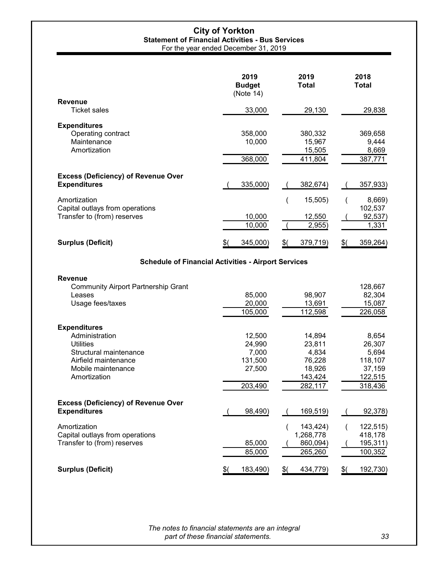# **City of Yorkton Statement of Financial Activities - Bus Services**

For the year ended December 31, 2019

|                                                                          | 2019<br><b>Budget</b><br>(Note 14) | 2019<br>Total                          | 2018<br>Total                        |
|--------------------------------------------------------------------------|------------------------------------|----------------------------------------|--------------------------------------|
| <b>Revenue</b><br><b>Ticket sales</b>                                    | 33,000                             | 29,130                                 | 29,838                               |
|                                                                          |                                    |                                        |                                      |
| <b>Expenditures</b><br>Operating contract<br>Maintenance<br>Amortization | 358,000<br>10,000<br>368,000       | 380,332<br>15,967<br>15,505<br>411,804 | 369,658<br>9,444<br>8,669<br>387,771 |
| <b>Excess (Deficiency) of Revenue Over</b><br><b>Expenditures</b>        | 335,000)                           | 382,674)                               | 357,933)                             |
| Amortization<br>Capital outlays from operations                          |                                    | 15,505)                                | 8,669)<br>102,537                    |
| Transfer to (from) reserves                                              | 10,000<br>10,000                   | 12,550<br>2,955)                       | 92,537)<br>1,331                     |
| <b>Surplus (Deficit)</b>                                                 | 345,000)<br>\$(                    | 379,719)<br>\$(                        | 359,264)<br>\$                       |

# **Schedule of Financial Activities - Airport Services**

| <b>Revenue</b>                             |                 |                 |                           |
|--------------------------------------------|-----------------|-----------------|---------------------------|
| <b>Community Airport Partnership Grant</b> |                 |                 | 128,667                   |
| Leases                                     | 85,000          | 98,907          | 82,304                    |
| Usage fees/taxes                           | 20,000          | 13,691          | 15,087                    |
|                                            | 105,000         | 112,598         | 226,058                   |
| <b>Expenditures</b>                        |                 |                 |                           |
| Administration                             | 12,500          | 14,894          | 8,654                     |
| <b>Utilities</b>                           | 24,990          | 23,811          | 26,307                    |
| Structural maintenance                     | 7,000           | 4,834           | 5,694                     |
| Airfield maintenance                       | 131,500         | 76,228          | 118,107                   |
| Mobile maintenance                         | 27,500          | 18,926          | 37,159                    |
| Amortization                               |                 | 143,424         | 122,515                   |
|                                            | 203,490         | 282,117         | 318,436                   |
| <b>Excess (Deficiency) of Revenue Over</b> |                 |                 |                           |
| <b>Expenditures</b>                        | 98,490)         | 169,519)        | 92,378)                   |
| Amortization                               |                 | 143,424)        | 122,515                   |
| Capital outlays from operations            |                 | 1,268,778       | 418,178                   |
| Transfer to (from) reserves                | 85,000          | 860,094)        | 195,311)                  |
|                                            | 85,000          | 265,260         | 100,352                   |
| <b>Surplus (Deficit)</b>                   | \$(<br>183,490) | \$(<br>434,779) | 192,730)<br>$\frac{1}{2}$ |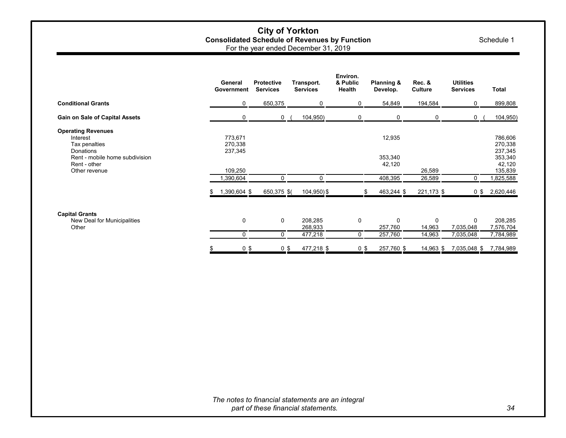#### **City of Yorkton Consolidated Schedule of Revenues by Function Schedule 1 Schedule 1 Schedule 1** For the year ended December 31, 2019

|                                                                              | General<br>Government | <b>Protective</b><br><b>Services</b> | Transport.<br><b>Services</b> | Environ.<br>& Public<br>Health | Planning &<br>Develop.            | Rec. &<br><b>Culture</b> | <b>Utilities</b><br><b>Services</b> | <b>Total</b>                            |
|------------------------------------------------------------------------------|-----------------------|--------------------------------------|-------------------------------|--------------------------------|-----------------------------------|--------------------------|-------------------------------------|-----------------------------------------|
| <b>Conditional Grants</b>                                                    | 0                     | 650,375                              | 0                             | 0                              | 54,849                            | 194,584                  | 0                                   | 899,808                                 |
| <b>Gain on Sale of Capital Assets</b>                                        | 0                     | $\mathbf{0}$                         | 104,950)                      | 0                              | 0                                 | 0                        | 0                                   | 104,950)                                |
| <b>Operating Revenues</b><br>Interest<br>Tax penalties                       | 773,671<br>270,338    |                                      |                               |                                | 12,935                            |                          |                                     | 786,606<br>270,338                      |
| Donations<br>Rent - mobile home subdivision<br>Rent - other<br>Other revenue | 237,345<br>109,250    |                                      |                               |                                | 353,340<br>42,120                 | 26,589                   |                                     | 237,345<br>353,340<br>42,120<br>135,839 |
|                                                                              | 1,390,604             | $\Omega$                             | 0                             |                                | 408,395                           | 26,589                   | $\Omega$                            | 1,825,588                               |
|                                                                              | \$<br>1,390,604 \$    | 650,375 \$                           | $104,950$ ) \$                |                                | 463,244 \$                        | 221,173 \$               |                                     | $0$ \$ 2,620,446                        |
| <b>Capital Grants</b><br>New Deal for Municipalities<br>Other                | 0<br>0                | $\mathbf 0$<br>$\Omega$              | 208,285<br>268,933<br>477,218 | 0<br>0                         | $\mathbf 0$<br>257,760<br>257,760 | 0<br>14,963<br>14,963    | 0<br>7,035,048<br>7,035,048         | 208,285<br>7,576,704<br>7,784,989       |
|                                                                              | \$<br>0 <sup>5</sup>  | 0 <sup>5</sup>                       | 477,218 \$                    | 0 <sup>5</sup>                 | 257,760 \$                        | 14,963 \$                | 7,035,048 \$                        | 7,784,989                               |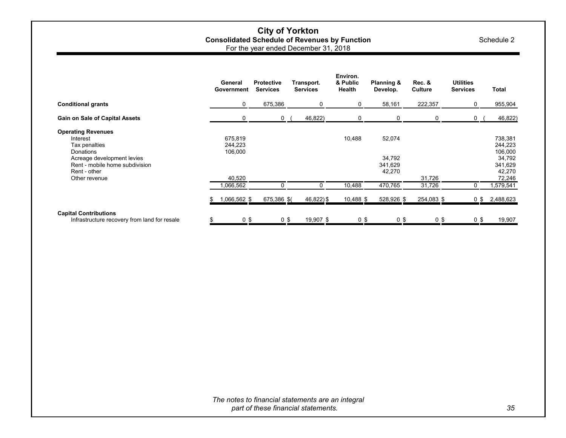#### **City of Yorkton Consolidated Schedule of Revenues by Function Schedule 2 Schedule 2 Schedule 2** For the year ended December 31, 2018

|                                                                                                                                                                      | General<br>Government                   | <b>Protective</b><br><b>Services</b> | Transport.<br><b>Services</b> | Environ.<br>& Public<br><b>Health</b> | <b>Planning &amp;</b><br>Develop.     | Rec. &<br><b>Culture</b> | <b>Utilities</b><br><b>Services</b> | Total                                                                  |
|----------------------------------------------------------------------------------------------------------------------------------------------------------------------|-----------------------------------------|--------------------------------------|-------------------------------|---------------------------------------|---------------------------------------|--------------------------|-------------------------------------|------------------------------------------------------------------------|
| <b>Conditional grants</b>                                                                                                                                            | 0                                       | 675,386                              | 0                             | 0                                     | 58,161                                | 222,357                  | 0                                   | 955,904                                                                |
| <b>Gain on Sale of Capital Assets</b>                                                                                                                                | 0                                       | 0                                    | 46,822)                       | 0                                     | 0                                     | 0                        | 0                                   | 46,822)                                                                |
| <b>Operating Revenues</b><br>Interest<br>Tax penalties<br>Donations<br>Acreage development levies<br>Rent - mobile home subdivision<br>Rent - other<br>Other revenue | 675,819<br>244,223<br>106,000<br>40,520 |                                      |                               | 10,488                                | 52,074<br>34,792<br>341,629<br>42,270 | 31,726                   |                                     | 738,381<br>244,223<br>106,000<br>34,792<br>341,629<br>42,270<br>72,246 |
|                                                                                                                                                                      | 1,066,562                               | $\Omega$                             | $\Omega$                      | 10,488                                | 470,765                               | 31,726                   | 0                                   | 1,579,541                                                              |
|                                                                                                                                                                      | 1,066,562 \$<br>\$                      | 675,386 \$                           | 46,822) \$                    | 10,488 \$                             | 528,926 \$                            | 254,083 \$               | 0\$                                 | 2,488,623                                                              |
| <b>Capital Contributions</b><br>Infrastructure recovery from land for resale                                                                                         | 0 <sup>5</sup>                          | 0 <sup>5</sup>                       | 19,907 \$                     | 0 <sup>5</sup>                        | 0 <sup>5</sup>                        | 0 <sup>5</sup>           | 0 <sup>5</sup>                      | 19,907                                                                 |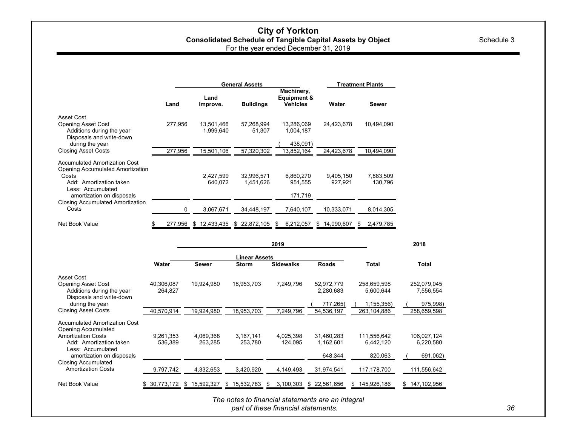#### **City of Yorkton Consolidated Schedule of Tangible Capital Assets by Object Schedule 3 Schedule 3** For the year ended December 31, 2019

| Schedule 3 |  |  |
|------------|--|--|
|            |  |  |

|                                                                                    |               |                         | <b>General Assets</b>   |                                              | <b>Treatment Plants</b> |                      |
|------------------------------------------------------------------------------------|---------------|-------------------------|-------------------------|----------------------------------------------|-------------------------|----------------------|
|                                                                                    | Land          | Land<br>Improve.        | <b>Buildings</b>        | Machinery,<br>Equipment &<br><b>Vehicles</b> | Water                   | Sewer                |
| <b>Asset Cost</b>                                                                  |               |                         |                         |                                              |                         |                      |
| <b>Opening Asset Cost</b><br>Additions during the year<br>Disposals and write-down | 277,956       | 13,501,466<br>1,999,640 | 57,268,994<br>51.307    | 13,286,069<br>1.004.187                      | 24,423,678              | 10,494,090           |
| during the year                                                                    |               |                         |                         | 438,091)                                     |                         |                      |
| <b>Closing Asset Costs</b>                                                         | 277.956       | 15.501.106              | 57.320.302              | 13,852,164                                   | 24,423,678              | 10,494,090           |
| <b>Accumulated Amortization Cost</b><br>Opening Accumulated Amortization           |               |                         |                         |                                              |                         |                      |
| Costs<br>Add: Amortization taken                                                   |               | 2,427,599<br>640.072    | 32,996,571<br>1,451,626 | 6,860,270<br>951,555                         | 9,405,150<br>927.921    | 7,883,509<br>130,796 |
| Less: Accumulated<br>amortization on disposals                                     |               |                         |                         | 171,719                                      |                         |                      |
| Closing Accumulated Amortization<br>Costs                                          | 0             | 3,067,671               | 34,448,197              | 7,640,107                                    | 10,333,071              | 8,014,305            |
| Net Book Value                                                                     | 277,956<br>\$ | 12,433,435<br>S         | 22,872,105<br>\$.       | 6,212,057<br>S                               | 14,090,607<br>S.        | 2,479,785<br>S       |

|                                                                                                                                          |                       |                      |                      | 2018                 |                                                   |                           |                          |
|------------------------------------------------------------------------------------------------------------------------------------------|-----------------------|----------------------|----------------------|----------------------|---------------------------------------------------|---------------------------|--------------------------|
|                                                                                                                                          |                       |                      | <b>Linear Assets</b> |                      |                                                   |                           |                          |
|                                                                                                                                          | Water                 | <b>Sewer</b>         | <b>Storm</b>         | <b>Sidewalks</b>     | <b>Roads</b>                                      | Total                     | <b>Total</b>             |
| <b>Asset Cost</b><br><b>Opening Asset Cost</b><br>Additions during the year<br>Disposals and write-down                                  | 40,306,087<br>264,827 | 19,924,980           | 18,953,703           | 7,249,796            | 52,972,779<br>2,280,683                           | 258,659,598<br>5,600,644  | 252,079,045<br>7,556,554 |
| during the year<br><b>Closing Asset Costs</b>                                                                                            | 40,570,914            | 19,924,980           | 18,953,703           | 7,249,796            | 717,265)<br>54,536,197                            | 1,155,356)<br>263,104,886 | 975,998)<br>258,659,598  |
| <b>Accumulated Amortization Cost</b><br>Opening Accumulated<br><b>Amortization Costs</b><br>Add: Amortization taken<br>Less: Accumulated | 9,261,353<br>536.389  | 4,069,368<br>263.285 | 3,167,141<br>253,780 | 4,025,398<br>124.095 | 31,460,283<br>1,162,601                           | 111,556,642<br>6,442,120  | 106,027,124<br>6,220,580 |
| amortization on disposals<br><b>Closing Accumulated</b><br><b>Amortization Costs</b>                                                     | 9,797,742             | 4,332,653            | 3,420,920            | 4,149,493            | 648,344<br>31,974,541                             | 820,063<br>117,178,700    | 691,062)<br>111,556,642  |
| Net Book Value                                                                                                                           | 30,773,172            | 15,592,327<br>\$     | 15,532,783<br>\$     | 3,100,303<br>S       | 22,561,656<br>\$                                  | 145,926,186<br>S          | 147, 102, 956<br>S       |
|                                                                                                                                          |                       |                      |                      |                      | The netro to financial statements are an integral |                           |                          |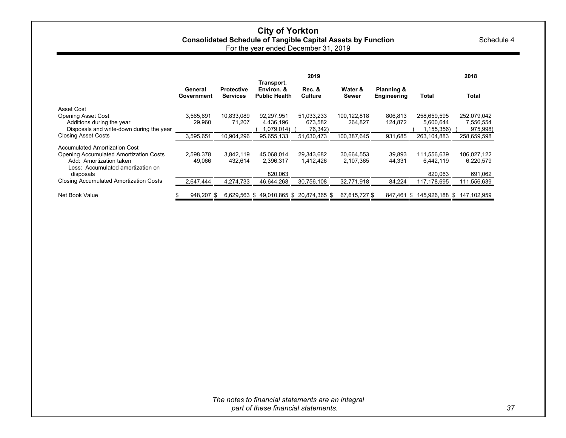#### **City of Yorkton Consolidated Schedule of Tangible Capital Assets by Function Schedule 4 Schedule 4** For the year ended December 31, 2019

|                                                                                                                  |                       |                                      |                                                  |                                  | 2018                    |                                  |                                        |                                      |
|------------------------------------------------------------------------------------------------------------------|-----------------------|--------------------------------------|--------------------------------------------------|----------------------------------|-------------------------|----------------------------------|----------------------------------------|--------------------------------------|
|                                                                                                                  | General<br>Government | <b>Protective</b><br><b>Services</b> | Transport.<br>Environ. &<br><b>Public Health</b> | Rec. &<br>Culture                | Water &<br>Sewer        | Planning &<br><b>Engineering</b> | Total                                  | Total                                |
| Asset Cost<br><b>Opening Asset Cost</b><br>Additions during the year<br>Disposals and write-down during the year | 3,565,691<br>29.960   | 10,833,089<br>71,207                 | 92.297.951<br>4,436,196<br>1,079,014)            | 51,033,233<br>673.582<br>76,342) | 100,122,818<br>264.827  | 806,813<br>124,872               | 258,659,595<br>5,600,644<br>1,155,356) | 252,079,042<br>7,556,554<br>975,998) |
| <b>Closing Asset Costs</b><br><b>Accumulated Amortization Cost</b>                                               | 3,595,651             | 10,904,296                           | 95,655,133                                       | 51,630,473                       | 100,387,645             | 931,685                          | 263,104,883                            | 258,659,598                          |
| <b>Opening Accumulated Amortization Costs</b><br>Add: Amortization taken<br>Less: Accumulated amortization on    | 2,598,378<br>49.066   | 3.842.119<br>432.614                 | 45.068.014<br>2.396.317                          | 29,343,682<br>1,412,426          | 30,664,553<br>2.107.365 | 39,893<br>44,331                 | 111,556,639<br>6.442.119               | 106,027,122<br>6,220,579             |
| disposals<br>Closing Accumulated Amortization Costs                                                              | 2.647.444             | 4.274.733                            | 820,063<br>46.644.268                            | 30,756,108                       | 32.771.918              | 84,224                           | 820,063<br>117.178.695                 | 691,062<br>111,556,639               |
| Net Book Value                                                                                                   | 948.207 \$<br>\$      |                                      | 6.629.563 \$49.010.865 \$20.874.365 \$           |                                  | 67.615.727 \$           |                                  |                                        | 847,461 \$145,926,188 \$147,102,959  |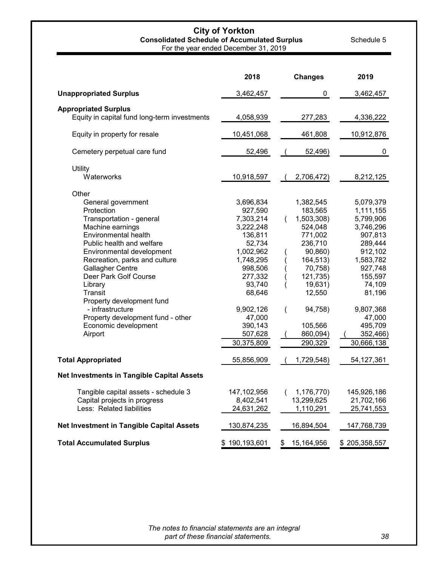| <b>City of Yorkton</b><br><b>Consolidated Schedule of Accumulated Surplus</b><br>For the year ended December 31, 2019                                                                                                                                                                                                                                                                                                  |                                                                                                                                                                                                    |                                                                                                                                                                                          |                                                                                                                                                                                                      |  |
|------------------------------------------------------------------------------------------------------------------------------------------------------------------------------------------------------------------------------------------------------------------------------------------------------------------------------------------------------------------------------------------------------------------------|----------------------------------------------------------------------------------------------------------------------------------------------------------------------------------------------------|------------------------------------------------------------------------------------------------------------------------------------------------------------------------------------------|------------------------------------------------------------------------------------------------------------------------------------------------------------------------------------------------------|--|
|                                                                                                                                                                                                                                                                                                                                                                                                                        | 2018                                                                                                                                                                                               | <b>Changes</b>                                                                                                                                                                           | 2019                                                                                                                                                                                                 |  |
| <b>Unappropriated Surplus</b>                                                                                                                                                                                                                                                                                                                                                                                          | 3,462,457                                                                                                                                                                                          | 0                                                                                                                                                                                        | 3,462,457                                                                                                                                                                                            |  |
| <b>Appropriated Surplus</b><br>Equity in capital fund long-term investments                                                                                                                                                                                                                                                                                                                                            | 4,058,939                                                                                                                                                                                          | 277,283                                                                                                                                                                                  | 4,336,222                                                                                                                                                                                            |  |
| Equity in property for resale                                                                                                                                                                                                                                                                                                                                                                                          | 10,451,068                                                                                                                                                                                         | 461,808                                                                                                                                                                                  | 10,912,876                                                                                                                                                                                           |  |
| Cemetery perpetual care fund                                                                                                                                                                                                                                                                                                                                                                                           | 52,496                                                                                                                                                                                             | 52,496)                                                                                                                                                                                  | 0                                                                                                                                                                                                    |  |
| Utility<br>Waterworks                                                                                                                                                                                                                                                                                                                                                                                                  | 10,918,597                                                                                                                                                                                         | 2,706,472)                                                                                                                                                                               | 8,212,125                                                                                                                                                                                            |  |
| Other<br>General government<br>Protection<br>Transportation - general<br>Machine earnings<br>Environmental health<br>Public health and welfare<br>Environmental development<br>Recreation, parks and culture<br><b>Gallagher Centre</b><br>Deer Park Golf Course<br>Library<br><b>Transit</b><br>Property development fund<br>- infrastructure<br>Property development fund - other<br>Economic development<br>Airport | 3,696,834<br>927,590<br>7,303,214<br>3,222,248<br>136,811<br>52,734<br>1,002,962<br>1,748,295<br>998,506<br>277,332<br>93,740<br>68,646<br>9,902,126<br>47,000<br>390,143<br>507,628<br>30,375,809 | 1,382,545<br>183,565<br>1,503,308)<br>524,048<br>771,002<br>236,710<br>90,860)<br>164,513)<br>70,758)<br>121,735)<br>19,631)<br>12,550<br>94,758)<br>(<br>105,566<br>860,094)<br>290,329 | 5,079,379<br>1,111,155<br>5,799,906<br>3,746,296<br>907,813<br>289,444<br>912,102<br>1,583,782<br>927,748<br>155,597<br>74,109<br>81,196<br>9,807,368<br>47,000<br>495,709<br>352,466)<br>30,666,138 |  |
| <b>Total Appropriated</b>                                                                                                                                                                                                                                                                                                                                                                                              | 55,856,909                                                                                                                                                                                         | 1,729,548)                                                                                                                                                                               | 54, 127, 361                                                                                                                                                                                         |  |
| <b>Net Investments in Tangible Capital Assets</b>                                                                                                                                                                                                                                                                                                                                                                      |                                                                                                                                                                                                    |                                                                                                                                                                                          |                                                                                                                                                                                                      |  |
| Tangible capital assets - schedule 3<br>Capital projects in progress<br>Less: Related liabilities                                                                                                                                                                                                                                                                                                                      | 147, 102, 956<br>8,402,541<br>24,631,262                                                                                                                                                           | 1,176,770)<br>(<br>13,299,625<br>1,110,291                                                                                                                                               | 145,926,186<br>21,702,166<br>25,741,553                                                                                                                                                              |  |
| <b>Net Investment in Tangible Capital Assets</b>                                                                                                                                                                                                                                                                                                                                                                       | 130,874,235                                                                                                                                                                                        | 16,894,504                                                                                                                                                                               | 147,768,739                                                                                                                                                                                          |  |
| <b>Total Accumulated Surplus</b>                                                                                                                                                                                                                                                                                                                                                                                       | 190,193,601                                                                                                                                                                                        | 15,164,956<br>\$                                                                                                                                                                         | \$205,358,557                                                                                                                                                                                        |  |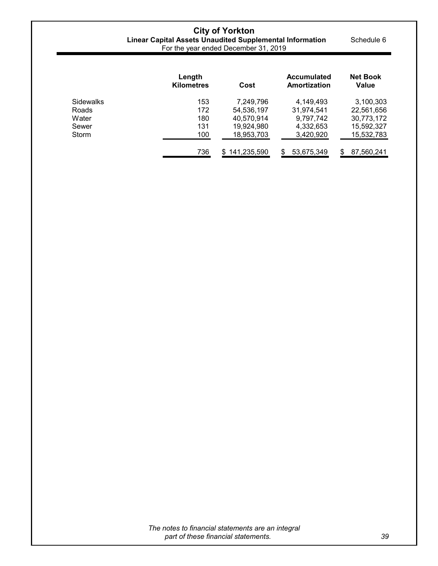#### **City of Yorkton Linear Capital Assets Unaudited Supplemental Information Schedule 6**

For the year ended December 31, 2019

|           | Length<br><b>Kilometres</b> | Cost        | <b>Accumulated</b><br>Amortization | <b>Net Book</b><br>Value |
|-----------|-----------------------------|-------------|------------------------------------|--------------------------|
| Sidewalks | 153                         | 7,249,796   | 4,149,493                          | 3,100,303                |
| Roads     | 172                         | 54,536,197  | 31,974,541                         | 22,561,656               |
| Water     | 180                         | 40,570,914  | 9,797,742                          | 30,773,172               |
| Sewer     | 131                         | 19,924,980  | 4,332,653                          | 15,592,327               |
| Storm     | 100                         | 18,953,703  | 3,420,920                          | 15,532,783               |
|           | 736                         | 141,235,590 | 53,675,349                         | 87,560,241               |